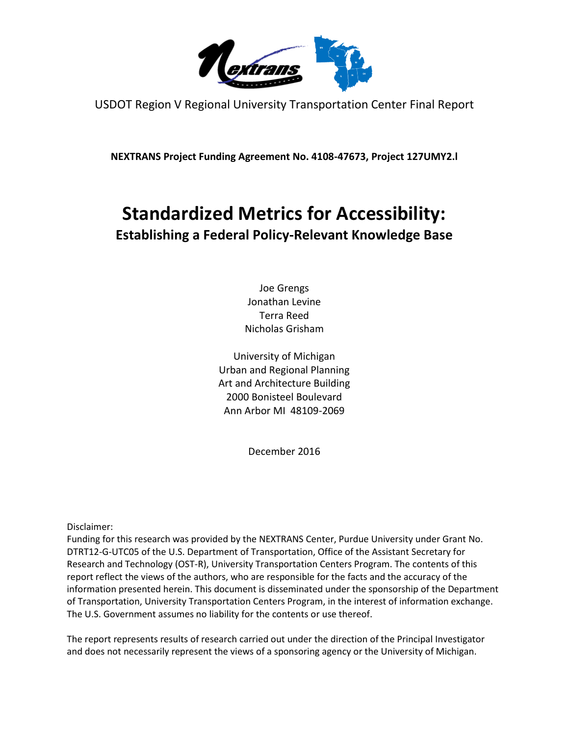

USDOT Region V Regional University Transportation Center Final Report

**NEXTRANS Project Funding Agreement No. 4108-47673, Project 127UMY2.l**

# **Standardized Metrics for Accessibility:**

# **Establishing a Federal Policy-Relevant Knowledge Base**

Joe Grengs Jonathan Levine Terra Reed Nicholas Grisham

University of Michigan Urban and Regional Planning Art and Architecture Building 2000 Bonisteel Boulevard Ann Arbor MI 48109-2069

December 2016

Disclaimer:

Funding for this research was provided by the NEXTRANS Center, Purdue University under Grant No. DTRT12-G-UTC05 of the U.S. Department of Transportation, Office of the Assistant Secretary for Research and Technology (OST-R), University Transportation Centers Program. The contents of this report reflect the views of the authors, who are responsible for the facts and the accuracy of the information presented herein. This document is disseminated under the sponsorship of the Department of Transportation, University Transportation Centers Program, in the interest of information exchange. The U.S. Government assumes no liability for the contents or use thereof.

The report represents results of research carried out under the direction of the Principal Investigator and does not necessarily represent the views of a sponsoring agency or the University of Michigan.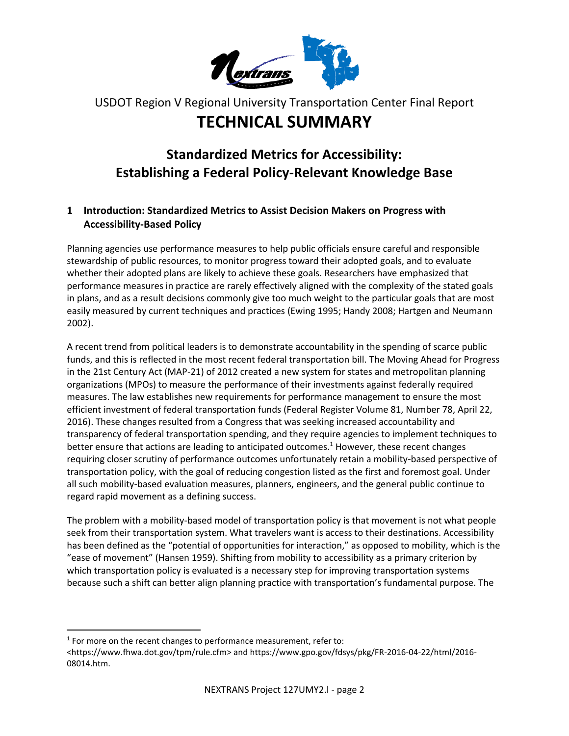

# USDOT Region V Regional University Transportation Center Final Report **TECHNICAL SUMMARY**

# **Standardized Metrics for Accessibility: Establishing a Federal Policy-Relevant Knowledge Base**

# **1 Introduction: Standardized Metrics to Assist Decision Makers on Progress with Accessibility-Based Policy**

Planning agencies use performance measures to help public officials ensure careful and responsible stewardship of public resources, to monitor progress toward their adopted goals, and to evaluate whether their adopted plans are likely to achieve these goals. Researchers have emphasized that performance measures in practice are rarely effectively aligned with the complexity of the stated goals in plans, and as a result decisions commonly give too much weight to the particular goals that are most easily measured by current techniques and practices (Ewing 1995; Handy 2008; Hartgen and Neumann 2002).

A recent trend from political leaders is to demonstrate accountability in the spending of scarce public funds, and this is reflected in the most recent federal transportation bill. The Moving Ahead for Progress in the 21st Century Act (MAP-21) of 2012 created a new system for states and metropolitan planning organizations (MPOs) to measure the performance of their investments against federally required measures. The law establishes new requirements for performance management to ensure the most efficient investment of federal transportation funds (Federal Register Volume 81, Number 78, April 22, 2016). These changes resulted from a Congress that was seeking increased accountability and transparency of federal transportation spending, and they require agencies to implement techniques to better ensure that actions are leading to anticipated outcomes.<sup>1</sup> However, these recent changes requiring closer scrutiny of performance outcomes unfortunately retain a mobility-based perspective of transportation policy, with the goal of reducing congestion listed as the first and foremost goal. Under all such mobility-based evaluation measures, planners, engineers, and the general public continue to regard rapid movement as a defining success.

The problem with a mobility-based model of transportation policy is that movement is not what people seek from their transportation system. What travelers want is access to their destinations. Accessibility has been defined as the "potential of opportunities for interaction," as opposed to mobility, which is the "ease of movement" (Hansen 1959). Shifting from mobility to accessibility as a primary criterion by which transportation policy is evaluated is a necessary step for improving transportation systems because such a shift can better align planning practice with transportation's fundamental purpose. The

 $\overline{\phantom{a}}$ 

 $1$  For more on the recent changes to performance measurement, refer to:

[<sup>&</sup>lt;https://www.fhwa.dot.gov/tpm/rule.cfm>](https://www.fhwa.dot.gov/tpm/rule.cfm) and [https://www.gpo.gov/fdsys/pkg/FR-2016-04-22/html/2016-](https://www.gpo.gov/fdsys/pkg/FR-2016-04-22/html/2016-08014.htm) [08014.htm.](https://www.gpo.gov/fdsys/pkg/FR-2016-04-22/html/2016-08014.htm)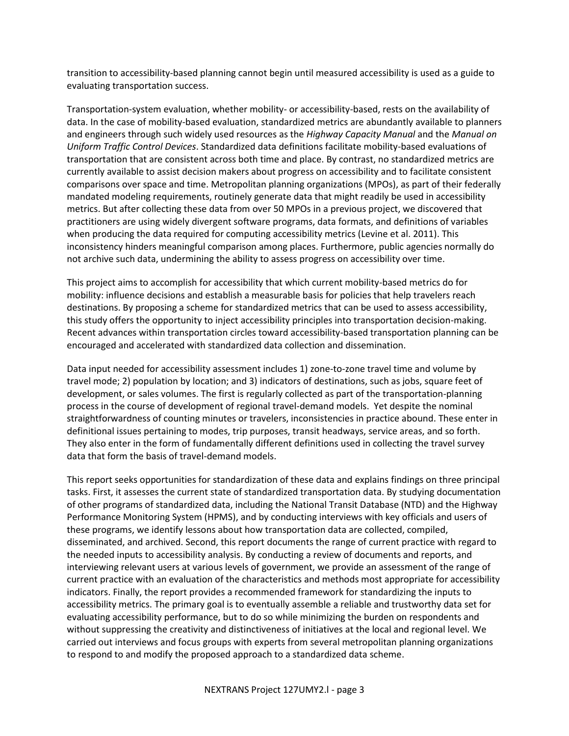transition to accessibility-based planning cannot begin until measured accessibility is used as a guide to evaluating transportation success.

Transportation-system evaluation, whether mobility- or accessibility-based, rests on the availability of data. In the case of mobility-based evaluation, standardized metrics are abundantly available to planners and engineers through such widely used resources as the *Highway Capacity Manual* and the *Manual on Uniform Traffic Control Devices*. Standardized data definitions facilitate mobility-based evaluations of transportation that are consistent across both time and place. By contrast, no standardized metrics are currently available to assist decision makers about progress on accessibility and to facilitate consistent comparisons over space and time. Metropolitan planning organizations (MPOs), as part of their federally mandated modeling requirements, routinely generate data that might readily be used in accessibility metrics. But after collecting these data from over 50 MPOs in a previous project, we discovered that practitioners are using widely divergent software programs, data formats, and definitions of variables when producing the data required for computing accessibility metrics (Levine et al. 2011). This inconsistency hinders meaningful comparison among places. Furthermore, public agencies normally do not archive such data, undermining the ability to assess progress on accessibility over time.

This project aims to accomplish for accessibility that which current mobility-based metrics do for mobility: influence decisions and establish a measurable basis for policies that help travelers reach destinations. By proposing a scheme for standardized metrics that can be used to assess accessibility, this study offers the opportunity to inject accessibility principles into transportation decision-making. Recent advances within transportation circles toward accessibility-based transportation planning can be encouraged and accelerated with standardized data collection and dissemination.

Data input needed for accessibility assessment includes 1) zone-to-zone travel time and volume by travel mode; 2) population by location; and 3) indicators of destinations, such as jobs, square feet of development, or sales volumes. The first is regularly collected as part of the transportation-planning process in the course of development of regional travel-demand models. Yet despite the nominal straightforwardness of counting minutes or travelers, inconsistencies in practice abound. These enter in definitional issues pertaining to modes, trip purposes, transit headways, service areas, and so forth. They also enter in the form of fundamentally different definitions used in collecting the travel survey data that form the basis of travel-demand models.

This report seeks opportunities for standardization of these data and explains findings on three principal tasks. First, it assesses the current state of standardized transportation data. By studying documentation of other programs of standardized data, including the National Transit Database (NTD) and the Highway Performance Monitoring System (HPMS), and by conducting interviews with key officials and users of these programs, we identify lessons about how transportation data are collected, compiled, disseminated, and archived. Second, this report documents the range of current practice with regard to the needed inputs to accessibility analysis. By conducting a review of documents and reports, and interviewing relevant users at various levels of government, we provide an assessment of the range of current practice with an evaluation of the characteristics and methods most appropriate for accessibility indicators. Finally, the report provides a recommended framework for standardizing the inputs to accessibility metrics. The primary goal is to eventually assemble a reliable and trustworthy data set for evaluating accessibility performance, but to do so while minimizing the burden on respondents and without suppressing the creativity and distinctiveness of initiatives at the local and regional level. We carried out interviews and focus groups with experts from several metropolitan planning organizations to respond to and modify the proposed approach to a standardized data scheme.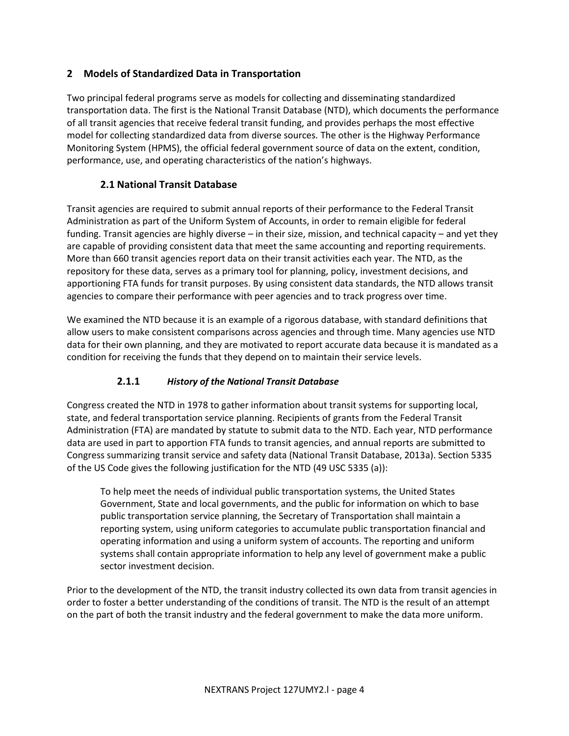#### **2 Models of Standardized Data in Transportation**

Two principal federal programs serve as models for collecting and disseminating standardized transportation data. The first is the National Transit Database (NTD), which documents the performance of all transit agencies that receive federal transit funding, and provides perhaps the most effective model for collecting standardized data from diverse sources. The other is the Highway Performance Monitoring System (HPMS), the official federal government source of data on the extent, condition, performance, use, and operating characteristics of the nation's highways.

#### **2.1 National Transit Database**

Transit agencies are required to submit annual reports of their performance to the Federal Transit Administration as part of the Uniform System of Accounts, in order to remain eligible for federal funding. Transit agencies are highly diverse – in their size, mission, and technical capacity – and yet they are capable of providing consistent data that meet the same accounting and reporting requirements. More than 660 transit agencies report data on their transit activities each year. The NTD, as the repository for these data, serves as a primary tool for planning, policy, investment decisions, and apportioning FTA funds for transit purposes. By using consistent data standards, the NTD allows transit agencies to compare their performance with peer agencies and to track progress over time.

We examined the NTD because it is an example of a rigorous database, with standard definitions that allow users to make consistent comparisons across agencies and through time. Many agencies use NTD data for their own planning, and they are motivated to report accurate data because it is mandated as a condition for receiving the funds that they depend on to maintain their service levels.

# **2.1.1** *History of the National Transit Database*

Congress created the NTD in 1978 to gather information about transit systems for supporting local, state, and federal transportation service planning. Recipients of grants from the Federal Transit Administration (FTA) are mandated by statute to submit data to the NTD. Each year, NTD performance data are used in part to apportion FTA funds to transit agencies, and annual reports are submitted to Congress summarizing transit service and safety data (National Transit Database, 2013a). Section 5335 of the US Code gives the following justification for the NTD (49 USC 5335 (a)):

To help meet the needs of individual public transportation systems, the United States Government, State and local governments, and the public for information on which to base public transportation service planning, the Secretary of Transportation shall maintain a reporting system, using uniform categories to accumulate public transportation financial and operating information and using a uniform system of accounts. The reporting and uniform systems shall contain appropriate information to help any level of government make a public sector investment decision.

Prior to the development of the NTD, the transit industry collected its own data from transit agencies in order to foster a better understanding of the conditions of transit. The NTD is the result of an attempt on the part of both the transit industry and the federal government to make the data more uniform.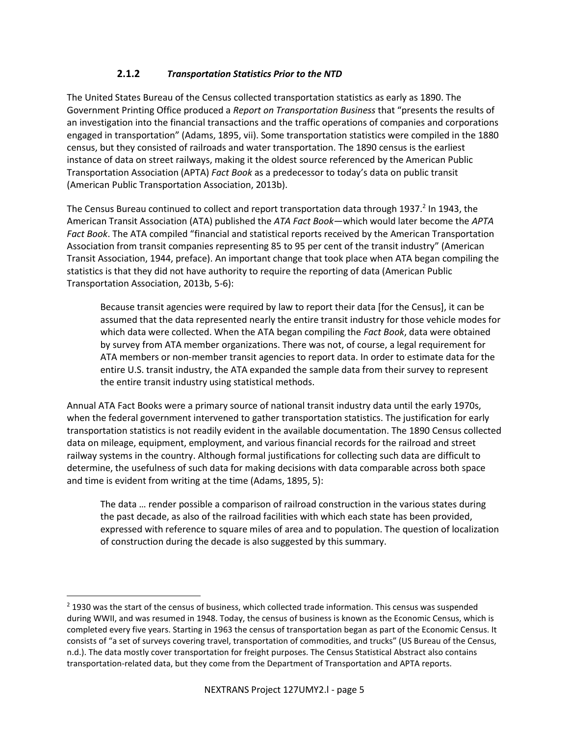#### **2.1.2** *Transportation Statistics Prior to the NTD*

The United States Bureau of the Census collected transportation statistics as early as 1890. The Government Printing Office produced a *Report on Transportation Business* that "presents the results of an investigation into the financial transactions and the traffic operations of companies and corporations engaged in transportation" (Adams, 1895, vii). Some transportation statistics were compiled in the 1880 census, but they consisted of railroads and water transportation. The 1890 census is the earliest instance of data on street railways, making it the oldest source referenced by the American Public Transportation Association (APTA) *Fact Book* as a predecessor to today's data on public transit (American Public Transportation Association, 2013b).

The Census Bureau continued to collect and report transportation data through 1937.<sup>2</sup> In 1943, the American Transit Association (ATA) published the *ATA Fact Book*—which would later become the *APTA Fact Book*. The ATA compiled "financial and statistical reports received by the American Transportation Association from transit companies representing 85 to 95 per cent of the transit industry" (American Transit Association, 1944, preface). An important change that took place when ATA began compiling the statistics is that they did not have authority to require the reporting of data (American Public Transportation Association, 2013b, 5-6):

Because transit agencies were required by law to report their data [for the Census], it can be assumed that the data represented nearly the entire transit industry for those vehicle modes for which data were collected. When the ATA began compiling the *Fact Book*, data were obtained by survey from ATA member organizations. There was not, of course, a legal requirement for ATA members or non-member transit agencies to report data. In order to estimate data for the entire U.S. transit industry, the ATA expanded the sample data from their survey to represent the entire transit industry using statistical methods.

Annual ATA Fact Books were a primary source of national transit industry data until the early 1970s, when the federal government intervened to gather transportation statistics. The justification for early transportation statistics is not readily evident in the available documentation. The 1890 Census collected data on mileage, equipment, employment, and various financial records for the railroad and street railway systems in the country. Although formal justifications for collecting such data are difficult to determine, the usefulness of such data for making decisions with data comparable across both space and time is evident from writing at the time (Adams, 1895, 5):

The data … render possible a comparison of railroad construction in the various states during the past decade, as also of the railroad facilities with which each state has been provided, expressed with reference to square miles of area and to population. The question of localization of construction during the decade is also suggested by this summary.

 $\overline{a}$ 

<sup>&</sup>lt;sup>2</sup> 1930 was the start of the census of business, which collected trade information. This census was suspended during WWII, and was resumed in 1948. Today, the census of business is known as the Economic Census, which is completed every five years. Starting in 1963 the census of transportation began as part of the Economic Census. It consists of "a set of surveys covering travel, transportation of commodities, and trucks" (US Bureau of the Census, n.d.). The data mostly cover transportation for freight purposes. The Census Statistical Abstract also contains transportation-related data, but they come from the Department of Transportation and APTA reports.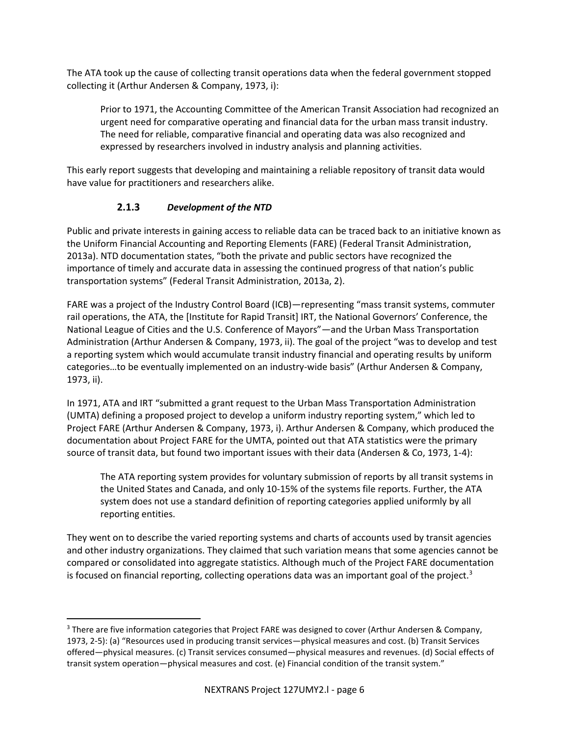The ATA took up the cause of collecting transit operations data when the federal government stopped collecting it (Arthur Andersen & Company, 1973, i):

Prior to 1971, the Accounting Committee of the American Transit Association had recognized an urgent need for comparative operating and financial data for the urban mass transit industry. The need for reliable, comparative financial and operating data was also recognized and expressed by researchers involved in industry analysis and planning activities.

This early report suggests that developing and maintaining a reliable repository of transit data would have value for practitioners and researchers alike.

#### **2.1.3** *Development of the NTD*

 $\overline{a}$ 

Public and private interests in gaining access to reliable data can be traced back to an initiative known as the Uniform Financial Accounting and Reporting Elements (FARE) (Federal Transit Administration, 2013a). NTD documentation states, "both the private and public sectors have recognized the importance of timely and accurate data in assessing the continued progress of that nation's public transportation systems" (Federal Transit Administration, 2013a, 2).

FARE was a project of the Industry Control Board (ICB)—representing "mass transit systems, commuter rail operations, the ATA, the [Institute for Rapid Transit] IRT, the National Governors' Conference, the National League of Cities and the U.S. Conference of Mayors"—and the Urban Mass Transportation Administration (Arthur Andersen & Company, 1973, ii). The goal of the project "was to develop and test a reporting system which would accumulate transit industry financial and operating results by uniform categories…to be eventually implemented on an industry-wide basis" (Arthur Andersen & Company, 1973, ii).

In 1971, ATA and IRT "submitted a grant request to the Urban Mass Transportation Administration (UMTA) defining a proposed project to develop a uniform industry reporting system," which led to Project FARE (Arthur Andersen & Company, 1973, i). Arthur Andersen & Company, which produced the documentation about Project FARE for the UMTA, pointed out that ATA statistics were the primary source of transit data, but found two important issues with their data (Andersen & Co, 1973, 1-4):

The ATA reporting system provides for voluntary submission of reports by all transit systems in the United States and Canada, and only 10-15% of the systems file reports. Further, the ATA system does not use a standard definition of reporting categories applied uniformly by all reporting entities.

They went on to describe the varied reporting systems and charts of accounts used by transit agencies and other industry organizations. They claimed that such variation means that some agencies cannot be compared or consolidated into aggregate statistics. Although much of the Project FARE documentation is focused on financial reporting, collecting operations data was an important goal of the project. $3$ 

<sup>&</sup>lt;sup>3</sup> There are five information categories that Project FARE was designed to cover (Arthur Andersen & Company, 1973, 2-5): (a) "Resources used in producing transit services—physical measures and cost. (b) Transit Services offered—physical measures. (c) Transit services consumed—physical measures and revenues. (d) Social effects of transit system operation—physical measures and cost. (e) Financial condition of the transit system."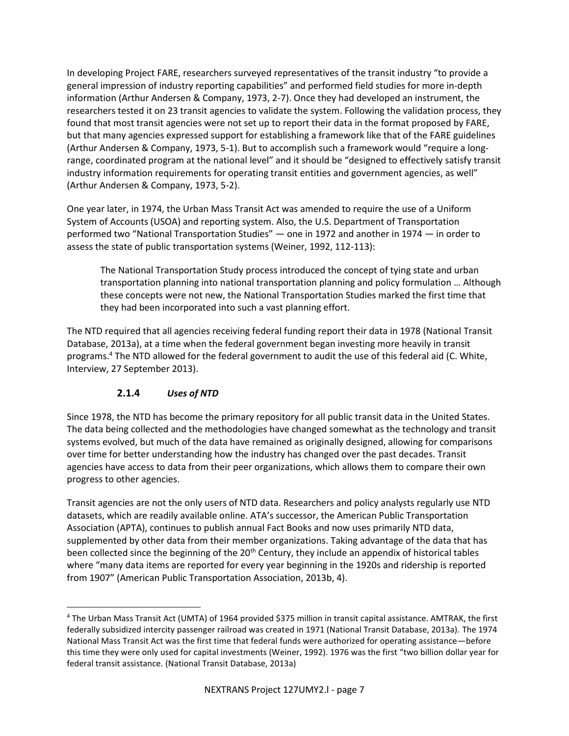In developing Project FARE, researchers surveyed representatives of the transit industry "to provide a general impression of industry reporting capabilities" and performed field studies for more in-depth information (Arthur Andersen & Company, 1973, 2-7). Once they had developed an instrument, the researchers tested it on 23 transit agencies to validate the system. Following the validation process, they found that most transit agencies were not set up to report their data in the format proposed by FARE, but that many agencies expressed support for establishing a framework like that of the FARE guidelines (Arthur Andersen & Company, 1973, 5-1). But to accomplish such a framework would "require a longrange, coordinated program at the national level" and it should be "designed to effectively satisfy transit industry information requirements for operating transit entities and government agencies, as well" (Arthur Andersen & Company, 1973, 5-2).

One year later, in 1974, the Urban Mass Transit Act was amended to require the use of a Uniform System of Accounts (USOA) and reporting system. Also, the U.S. Department of Transportation performed two "National Transportation Studies" — one in 1972 and another in 1974 — in order to assess the state of public transportation systems (Weiner, 1992, 112-113):

The National Transportation Study process introduced the concept of tying state and urban transportation planning into national transportation planning and policy formulation … Although these concepts were not new, the National Transportation Studies marked the first time that they had been incorporated into such a vast planning effort.

The NTD required that all agencies receiving federal funding report their data in 1978 (National Transit Database, 2013a), at a time when the federal government began investing more heavily in transit programs.<sup>4</sup> The NTD allowed for the federal government to audit the use of this federal aid (C. White, Interview, 27 September 2013).

# **2.1.4** *Uses of NTD*

l

Since 1978, the NTD has become the primary repository for all public transit data in the United States. The data being collected and the methodologies have changed somewhat as the technology and transit systems evolved, but much of the data have remained as originally designed, allowing for comparisons over time for better understanding how the industry has changed over the past decades. Transit agencies have access to data from their peer organizations, which allows them to compare their own progress to other agencies.

Transit agencies are not the only users of NTD data. Researchers and policy analysts regularly use NTD datasets, which are readily available online. ATA's successor, the American Public Transportation Association (APTA), continues to publish annual Fact Books and now uses primarily NTD data, supplemented by other data from their member organizations. Taking advantage of the data that has been collected since the beginning of the 20<sup>th</sup> Century, they include an appendix of historical tables where "many data items are reported for every year beginning in the 1920s and ridership is reported from 1907" (American Public Transportation Association, 2013b, 4).

<sup>4</sup> The Urban Mass Transit Act (UMTA) of 1964 provided \$375 million in transit capital assistance. AMTRAK, the first federally subsidized intercity passenger railroad was created in 1971 (National Transit Database, 2013a). The 1974 National Mass Transit Act was the first time that federal funds were authorized for operating assistance—before this time they were only used for capital investments (Weiner, 1992). 1976 was the first "two billion dollar year for federal transit assistance. (National Transit Database, 2013a)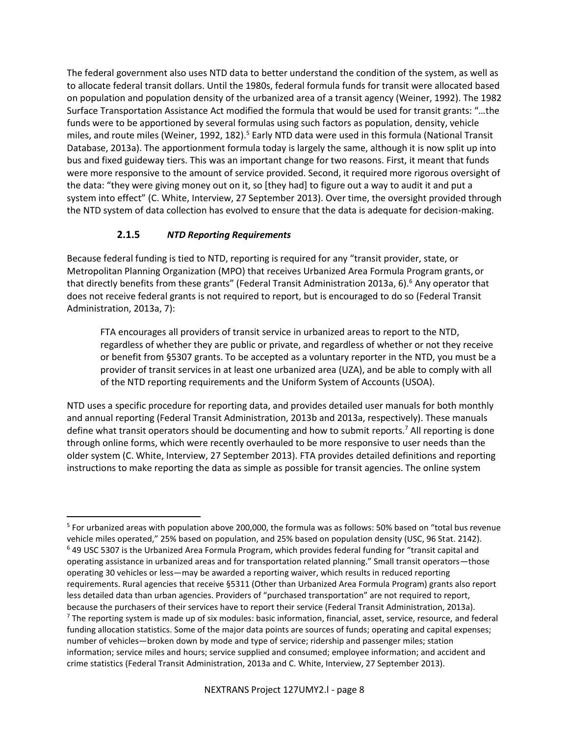The federal government also uses NTD data to better understand the condition of the system, as well as to allocate federal transit dollars. Until the 1980s, federal formula funds for transit were allocated based on population and population density of the urbanized area of a transit agency (Weiner, 1992). The 1982 Surface Transportation Assistance Act modified the formula that would be used for transit grants: "…the funds were to be apportioned by several formulas using such factors as population, density, vehicle miles, and route miles (Weiner, 1992, 182).<sup>5</sup> Early NTD data were used in this formula (National Transit Database, 2013a). The apportionment formula today is largely the same, although it is now split up into bus and fixed guideway tiers. This was an important change for two reasons. First, it meant that funds were more responsive to the amount of service provided. Second, it required more rigorous oversight of the data: "they were giving money out on it, so [they had] to figure out a way to audit it and put a system into effect" (C. White, Interview, 27 September 2013). Over time, the oversight provided through the NTD system of data collection has evolved to ensure that the data is adequate for decision-making.

#### **2.1.5** *NTD Reporting Requirements*

 $\overline{a}$ 

Because federal funding is tied to NTD, reporting is required for any "transit provider, state, or Metropolitan Planning Organization (MPO) that receives Urbanized Area Formula Program grants, or that directly benefits from these grants" (Federal Transit Administration 2013a, 6).<sup>6</sup> Any operator that does not receive federal grants is not required to report, but is encouraged to do so (Federal Transit Administration, 2013a, 7):

FTA encourages all providers of transit service in urbanized areas to report to the NTD, regardless of whether they are public or private, and regardless of whether or not they receive or benefit from §5307 grants. To be accepted as a voluntary reporter in the NTD, you must be a provider of transit services in at least one urbanized area (UZA), and be able to comply with all of the NTD reporting requirements and the Uniform System of Accounts (USOA).

NTD uses a specific procedure for reporting data, and provides detailed user manuals for both monthly and annual reporting (Federal Transit Administration, 2013b and 2013a, respectively). These manuals define what transit operators should be documenting and how to submit reports. <sup>7</sup> All reporting is done through online forms, which were recently overhauled to be more responsive to user needs than the older system (C. White, Interview, 27 September 2013). FTA provides detailed definitions and reporting instructions to make reporting the data as simple as possible for transit agencies. The online system

<sup>5</sup> For urbanized areas with population above 200,000, the formula was as follows: 50% based on "total bus revenue vehicle miles operated," 25% based on population, and 25% based on population density (USC, 96 Stat. 2142). <sup>6</sup> 49 USC 5307 is the Urbanized Area Formula Program, which provides federal funding for "transit capital and operating assistance in urbanized areas and for transportation related planning." Small transit operators—those operating 30 vehicles or less—may be awarded a reporting waiver, which results in reduced reporting requirements. Rural agencies that receive §5311 (Other than Urbanized Area Formula Program) grants also report less detailed data than urban agencies. Providers of "purchased transportation" are not required to report, because the purchasers of their services have to report their service (Federal Transit Administration, 2013a).  $<sup>7</sup>$  The reporting system is made up of six modules: basic information, financial, asset, service, resource, and federal</sup> funding allocation statistics. Some of the major data points are sources of funds; operating and capital expenses; number of vehicles—broken down by mode and type of service; ridership and passenger miles; station information; service miles and hours; service supplied and consumed; employee information; and accident and crime statistics (Federal Transit Administration, 2013a and C. White, Interview, 27 September 2013).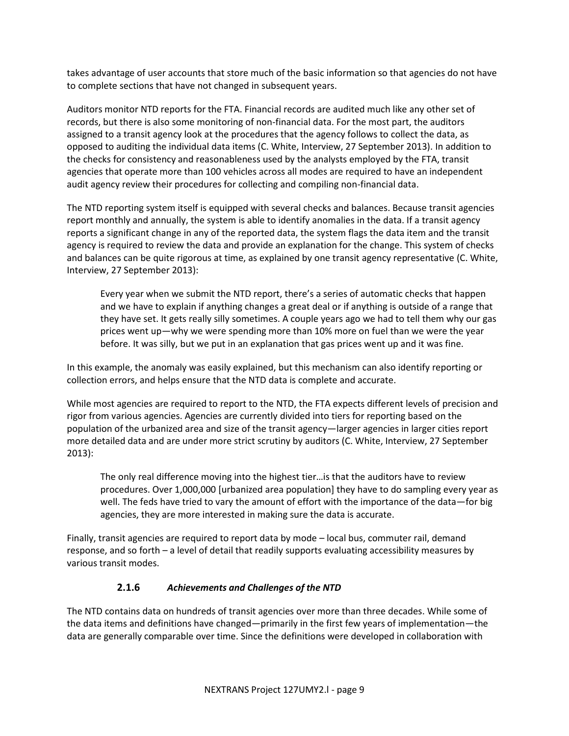takes advantage of user accounts that store much of the basic information so that agencies do not have to complete sections that have not changed in subsequent years.

Auditors monitor NTD reports for the FTA. Financial records are audited much like any other set of records, but there is also some monitoring of non-financial data. For the most part, the auditors assigned to a transit agency look at the procedures that the agency follows to collect the data, as opposed to auditing the individual data items (C. White, Interview, 27 September 2013). In addition to the checks for consistency and reasonableness used by the analysts employed by the FTA, transit agencies that operate more than 100 vehicles across all modes are required to have an independent audit agency review their procedures for collecting and compiling non-financial data.

The NTD reporting system itself is equipped with several checks and balances. Because transit agencies report monthly and annually, the system is able to identify anomalies in the data. If a transit agency reports a significant change in any of the reported data, the system flags the data item and the transit agency is required to review the data and provide an explanation for the change. This system of checks and balances can be quite rigorous at time, as explained by one transit agency representative (C. White, Interview, 27 September 2013):

Every year when we submit the NTD report, there's a series of automatic checks that happen and we have to explain if anything changes a great deal or if anything is outside of a range that they have set. It gets really silly sometimes. A couple years ago we had to tell them why our gas prices went up—why we were spending more than 10% more on fuel than we were the year before. It was silly, but we put in an explanation that gas prices went up and it was fine.

In this example, the anomaly was easily explained, but this mechanism can also identify reporting or collection errors, and helps ensure that the NTD data is complete and accurate.

While most agencies are required to report to the NTD, the FTA expects different levels of precision and rigor from various agencies. Agencies are currently divided into tiers for reporting based on the population of the urbanized area and size of the transit agency—larger agencies in larger cities report more detailed data and are under more strict scrutiny by auditors (C. White, Interview, 27 September 2013):

The only real difference moving into the highest tier…is that the auditors have to review procedures. Over 1,000,000 [urbanized area population] they have to do sampling every year as well. The feds have tried to vary the amount of effort with the importance of the data—for big agencies, they are more interested in making sure the data is accurate.

Finally, transit agencies are required to report data by mode – local bus, commuter rail, demand response, and so forth – a level of detail that readily supports evaluating accessibility measures by various transit modes.

#### **2.1.6** *Achievements and Challenges of the NTD*

The NTD contains data on hundreds of transit agencies over more than three decades. While some of the data items and definitions have changed—primarily in the first few years of implementation—the data are generally comparable over time. Since the definitions were developed in collaboration with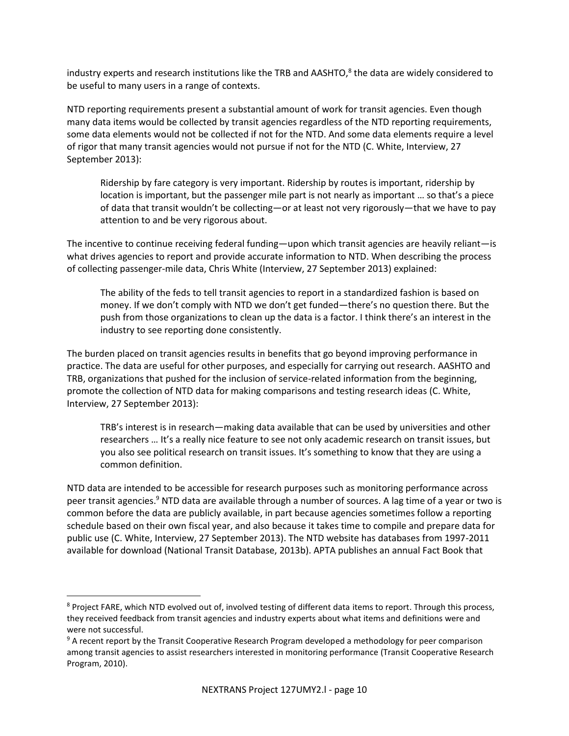industry experts and research institutions like the TRB and AASHTO, 8 the data are widely considered to be useful to many users in a range of contexts.

NTD reporting requirements present a substantial amount of work for transit agencies. Even though many data items would be collected by transit agencies regardless of the NTD reporting requirements, some data elements would not be collected if not for the NTD. And some data elements require a level of rigor that many transit agencies would not pursue if not for the NTD (C. White, Interview, 27 September 2013):

Ridership by fare category is very important. Ridership by routes is important, ridership by location is important, but the passenger mile part is not nearly as important … so that's a piece of data that transit wouldn't be collecting—or at least not very rigorously—that we have to pay attention to and be very rigorous about.

The incentive to continue receiving federal funding—upon which transit agencies are heavily reliant—is what drives agencies to report and provide accurate information to NTD. When describing the process of collecting passenger-mile data, Chris White (Interview, 27 September 2013) explained:

The ability of the feds to tell transit agencies to report in a standardized fashion is based on money. If we don't comply with NTD we don't get funded—there's no question there. But the push from those organizations to clean up the data is a factor. I think there's an interest in the industry to see reporting done consistently.

The burden placed on transit agencies results in benefits that go beyond improving performance in practice. The data are useful for other purposes, and especially for carrying out research. AASHTO and TRB, organizations that pushed for the inclusion of service-related information from the beginning, promote the collection of NTD data for making comparisons and testing research ideas (C. White, Interview, 27 September 2013):

TRB's interest is in research—making data available that can be used by universities and other researchers … It's a really nice feature to see not only academic research on transit issues, but you also see political research on transit issues. It's something to know that they are using a common definition.

NTD data are intended to be accessible for research purposes such as monitoring performance across peer transit agencies.<sup>9</sup> NTD data are available through a number of sources. A lag time of a year or two is common before the data are publicly available, in part because agencies sometimes follow a reporting schedule based on their own fiscal year, and also because it takes time to compile and prepare data for public use (C. White, Interview, 27 September 2013). The NTD website has databases from 1997-2011 available for download (National Transit Database, 2013b). APTA publishes an annual Fact Book that

 $\overline{a}$ 

<sup>&</sup>lt;sup>8</sup> Project FARE, which NTD evolved out of, involved testing of different data items to report. Through this process, they received feedback from transit agencies and industry experts about what items and definitions were and were not successful.

<sup>&</sup>lt;sup>9</sup> A recent report by the Transit Cooperative Research Program developed a methodology for peer comparison among transit agencies to assist researchers interested in monitoring performance (Transit Cooperative Research Program, 2010).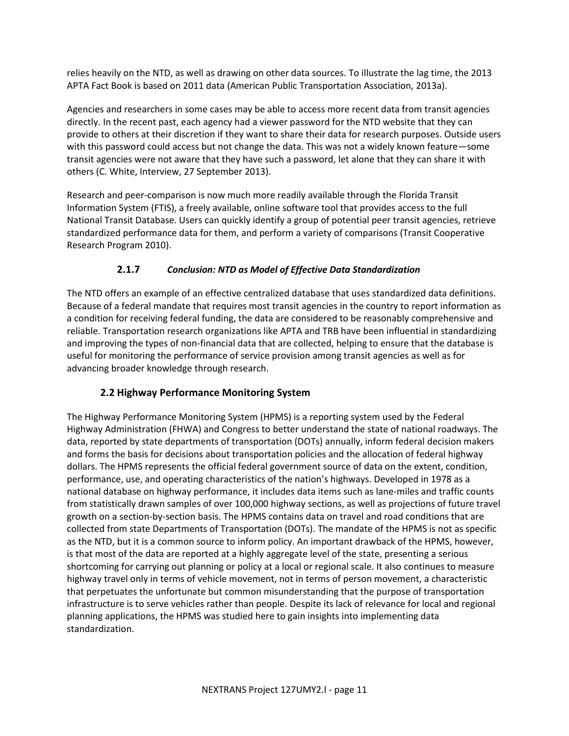relies heavily on the NTD, as well as drawing on other data sources. To illustrate the lag time, the 2013 APTA Fact Book is based on 2011 data (American Public Transportation Association, 2013a).

Agencies and researchers in some cases may be able to access more recent data from transit agencies directly. In the recent past, each agency had a viewer password for the NTD website that they can provide to others at their discretion if they want to share their data for research purposes. Outside users with this password could access but not change the data. This was not a widely known feature—some transit agencies were not aware that they have such a password, let alone that they can share it with others (C. White, Interview, 27 September 2013).

Research and peer-comparison is now much more readily available through the Florida Transit Information System (FTIS), a freely available, online software tool that provides access to the full National Transit Database. Users can quickly identify a group of potential peer transit agencies, retrieve standardized performance data for them, and perform a variety of comparisons (Transit Cooperative Research Program 2010).

# **2.1.7** *Conclusion: NTD as Model of Effective Data Standardization*

The NTD offers an example of an effective centralized database that uses standardized data definitions. Because of a federal mandate that requires most transit agencies in the country to report information as a condition for receiving federal funding, the data are considered to be reasonably comprehensive and reliable. Transportation research organizations like APTA and TRB have been influential in standardizing and improving the types of non-financial data that are collected, helping to ensure that the database is useful for monitoring the performance of service provision among transit agencies as well as for advancing broader knowledge through research.

# **2.2 Highway Performance Monitoring System**

The Highway Performance Monitoring System (HPMS) is a reporting system used by the Federal Highway Administration (FHWA) and Congress to better understand the state of national roadways. The data, reported by state departments of transportation (DOTs) annually, inform federal decision makers and forms the basis for decisions about transportation policies and the allocation of federal highway dollars. The HPMS represents the official federal government source of data on the extent, condition, performance, use, and operating characteristics of the nation's highways. Developed in 1978 as a national database on highway performance, it includes data items such as lane-miles and traffic counts from statistically drawn samples of over 100,000 highway sections, as well as projections of future travel growth on a section-by-section basis. The HPMS contains data on travel and road conditions that are collected from state Departments of Transportation (DOTs). The mandate of the HPMS is not as specific as the NTD, but it is a common source to inform policy. An important drawback of the HPMS, however, is that most of the data are reported at a highly aggregate level of the state, presenting a serious shortcoming for carrying out planning or policy at a local or regional scale. It also continues to measure highway travel only in terms of vehicle movement, not in terms of person movement, a characteristic that perpetuates the unfortunate but common misunderstanding that the purpose of transportation infrastructure is to serve vehicles rather than people. Despite its lack of relevance for local and regional planning applications, the HPMS was studied here to gain insights into implementing data standardization.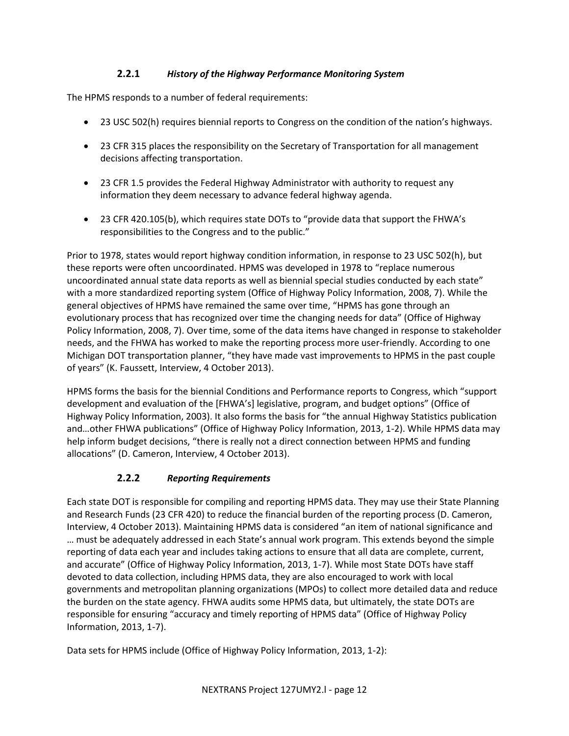#### **2.2.1** *History of the Highway Performance Monitoring System*

The HPMS responds to a number of federal requirements:

- 23 USC 502(h) requires biennial reports to Congress on the condition of the nation's highways.
- 23 CFR 315 places the responsibility on the Secretary of Transportation for all management decisions affecting transportation.
- 23 CFR 1.5 provides the Federal Highway Administrator with authority to request any information they deem necessary to advance federal highway agenda.
- 23 CFR 420.105(b), which requires state DOTs to "provide data that support the FHWA's responsibilities to the Congress and to the public."

Prior to 1978, states would report highway condition information, in response to 23 USC 502(h), but these reports were often uncoordinated. HPMS was developed in 1978 to "replace numerous uncoordinated annual state data reports as well as biennial special studies conducted by each state" with a more standardized reporting system (Office of Highway Policy Information, 2008, 7). While the general objectives of HPMS have remained the same over time, "HPMS has gone through an evolutionary process that has recognized over time the changing needs for data" (Office of Highway Policy Information, 2008, 7). Over time, some of the data items have changed in response to stakeholder needs, and the FHWA has worked to make the reporting process more user-friendly. According to one Michigan DOT transportation planner, "they have made vast improvements to HPMS in the past couple of years" (K. Faussett, Interview, 4 October 2013).

HPMS forms the basis for the biennial Conditions and Performance reports to Congress, which "support development and evaluation of the [FHWA's] legislative, program, and budget options" (Office of Highway Policy Information, 2003). It also forms the basis for "the annual Highway Statistics publication and…other FHWA publications" (Office of Highway Policy Information, 2013, 1-2). While HPMS data may help inform budget decisions, "there is really not a direct connection between HPMS and funding allocations" (D. Cameron, Interview, 4 October 2013).

#### **2.2.2** *Reporting Requirements*

Each state DOT is responsible for compiling and reporting HPMS data. They may use their State Planning and Research Funds (23 CFR 420) to reduce the financial burden of the reporting process (D. Cameron, Interview, 4 October 2013). Maintaining HPMS data is considered "an item of national significance and … must be adequately addressed in each State's annual work program. This extends beyond the simple reporting of data each year and includes taking actions to ensure that all data are complete, current, and accurate" (Office of Highway Policy Information, 2013, 1-7). While most State DOTs have staff devoted to data collection, including HPMS data, they are also encouraged to work with local governments and metropolitan planning organizations (MPOs) to collect more detailed data and reduce the burden on the state agency. FHWA audits some HPMS data, but ultimately, the state DOTs are responsible for ensuring "accuracy and timely reporting of HPMS data" (Office of Highway Policy Information, 2013, 1-7).

Data sets for HPMS include (Office of Highway Policy Information, 2013, 1-2):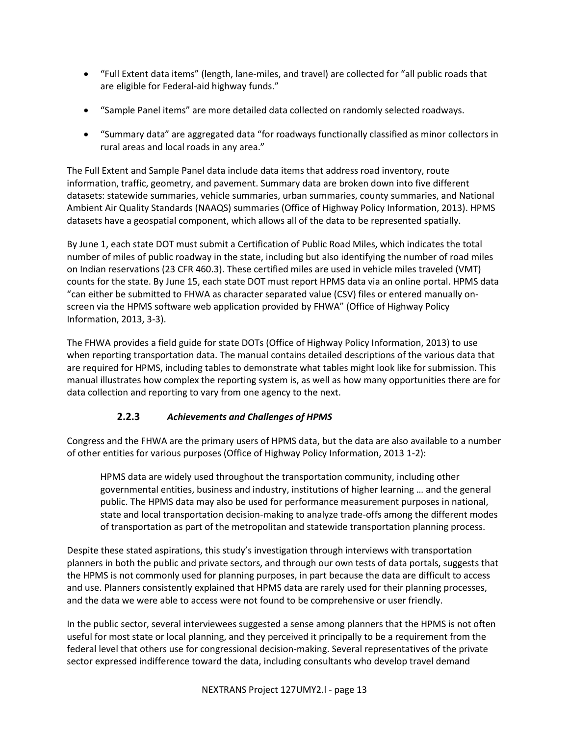- "Full Extent data items" (length, lane-miles, and travel) are collected for "all public roads that are eligible for Federal-aid highway funds."
- "Sample Panel items" are more detailed data collected on randomly selected roadways.
- "Summary data" are aggregated data "for roadways functionally classified as minor collectors in rural areas and local roads in any area."

The Full Extent and Sample Panel data include data items that address road inventory, route information, traffic, geometry, and pavement. Summary data are broken down into five different datasets: statewide summaries, vehicle summaries, urban summaries, county summaries, and National Ambient Air Quality Standards (NAAQS) summaries (Office of Highway Policy Information, 2013). HPMS datasets have a geospatial component, which allows all of the data to be represented spatially.

By June 1, each state DOT must submit a Certification of Public Road Miles, which indicates the total number of miles of public roadway in the state, including but also identifying the number of road miles on Indian reservations (23 CFR 460.3). These certified miles are used in vehicle miles traveled (VMT) counts for the state. By June 15, each state DOT must report HPMS data via an online portal. HPMS data "can either be submitted to FHWA as character separated value (CSV) files or entered manually onscreen via the HPMS software web application provided by FHWA" (Office of Highway Policy Information, 2013, 3-3).

The FHWA provides a field guide for state DOTs (Office of Highway Policy Information, 2013) to use when reporting transportation data. The manual contains detailed descriptions of the various data that are required for HPMS, including tables to demonstrate what tables might look like for submission. This manual illustrates how complex the reporting system is, as well as how many opportunities there are for data collection and reporting to vary from one agency to the next.

# **2.2.3** *Achievements and Challenges of HPMS*

Congress and the FHWA are the primary users of HPMS data, but the data are also available to a number of other entities for various purposes (Office of Highway Policy Information, 2013 1-2):

HPMS data are widely used throughout the transportation community, including other governmental entities, business and industry, institutions of higher learning … and the general public. The HPMS data may also be used for performance measurement purposes in national, state and local transportation decision-making to analyze trade-offs among the different modes of transportation as part of the metropolitan and statewide transportation planning process.

Despite these stated aspirations, this study's investigation through interviews with transportation planners in both the public and private sectors, and through our own tests of data portals, suggests that the HPMS is not commonly used for planning purposes, in part because the data are difficult to access and use. Planners consistently explained that HPMS data are rarely used for their planning processes, and the data we were able to access were not found to be comprehensive or user friendly.

In the public sector, several interviewees suggested a sense among planners that the HPMS is not often useful for most state or local planning, and they perceived it principally to be a requirement from the federal level that others use for congressional decision-making. Several representatives of the private sector expressed indifference toward the data, including consultants who develop travel demand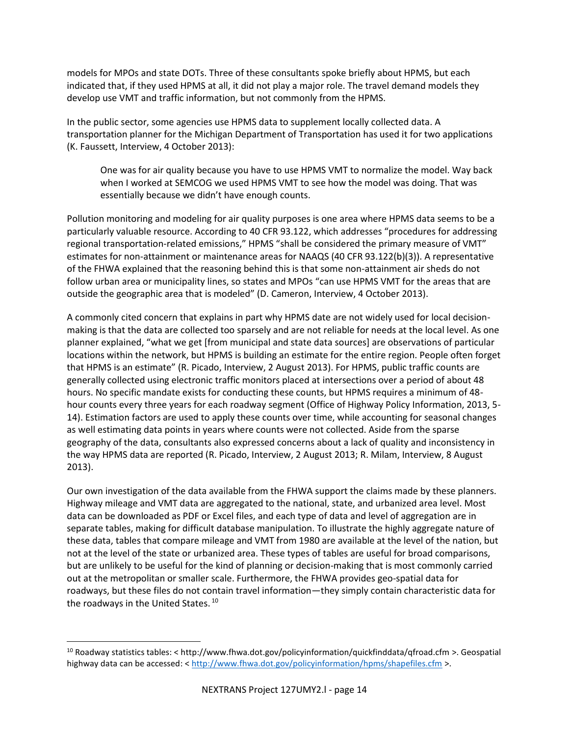models for MPOs and state DOTs. Three of these consultants spoke briefly about HPMS, but each indicated that, if they used HPMS at all, it did not play a major role. The travel demand models they develop use VMT and traffic information, but not commonly from the HPMS.

In the public sector, some agencies use HPMS data to supplement locally collected data. A transportation planner for the Michigan Department of Transportation has used it for two applications (K. Faussett, Interview, 4 October 2013):

One was for air quality because you have to use HPMS VMT to normalize the model. Way back when I worked at SEMCOG we used HPMS VMT to see how the model was doing. That was essentially because we didn't have enough counts.

Pollution monitoring and modeling for air quality purposes is one area where HPMS data seems to be a particularly valuable resource. According to 40 CFR 93.122, which addresses "procedures for addressing regional transportation-related emissions," HPMS "shall be considered the primary measure of VMT" estimates for non-attainment or maintenance areas for NAAQS (40 CFR 93.122(b)(3)). A representative of the FHWA explained that the reasoning behind this is that some non-attainment air sheds do not follow urban area or municipality lines, so states and MPOs "can use HPMS VMT for the areas that are outside the geographic area that is modeled" (D. Cameron, Interview, 4 October 2013).

A commonly cited concern that explains in part why HPMS date are not widely used for local decisionmaking is that the data are collected too sparsely and are not reliable for needs at the local level. As one planner explained, "what we get [from municipal and state data sources] are observations of particular locations within the network, but HPMS is building an estimate for the entire region. People often forget that HPMS is an estimate" (R. Picado, Interview, 2 August 2013). For HPMS, public traffic counts are generally collected using electronic traffic monitors placed at intersections over a period of about 48 hours. No specific mandate exists for conducting these counts, but HPMS requires a minimum of 48 hour counts every three years for each roadway segment (Office of Highway Policy Information, 2013, 5- 14). Estimation factors are used to apply these counts over time, while accounting for seasonal changes as well estimating data points in years where counts were not collected. Aside from the sparse geography of the data, consultants also expressed concerns about a lack of quality and inconsistency in the way HPMS data are reported (R. Picado, Interview, 2 August 2013; R. Milam, Interview, 8 August 2013).

Our own investigation of the data available from the FHWA support the claims made by these planners. Highway mileage and VMT data are aggregated to the national, state, and urbanized area level. Most data can be downloaded as PDF or Excel files, and each type of data and level of aggregation are in separate tables, making for difficult database manipulation. To illustrate the highly aggregate nature of these data, tables that compare mileage and VMT from 1980 are available at the level of the nation, but not at the level of the state or urbanized area. These types of tables are useful for broad comparisons, but are unlikely to be useful for the kind of planning or decision-making that is most commonly carried out at the metropolitan or smaller scale. Furthermore, the FHWA provides geo-spatial data for roadways, but these files do not contain travel information—they simply contain characteristic data for the roadways in the United States.<sup>10</sup>

l

<sup>10</sup> Roadway statistics tables: < http://www.fhwa.dot.gov/policyinformation/quickfinddata/qfroad.cfm >. Geospatial highway data can be accessed: < <http://www.fhwa.dot.gov/policyinformation/hpms/shapefiles.cfm> >.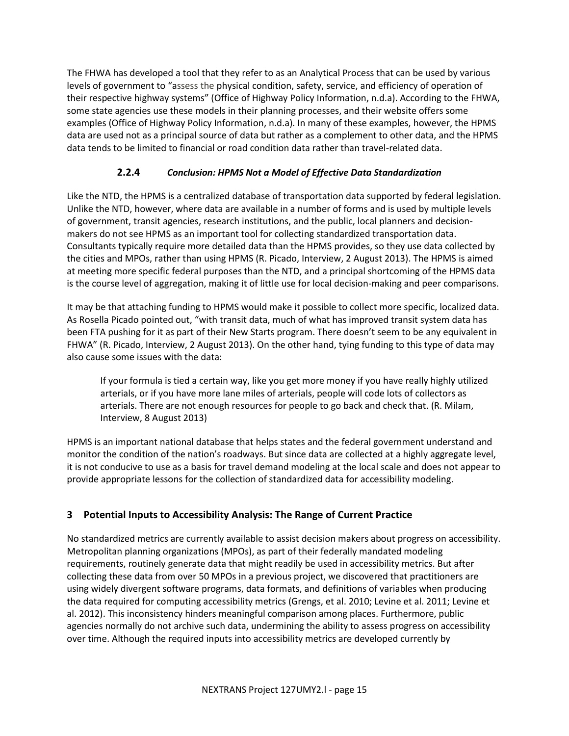The FHWA has developed a tool that they refer to as an Analytical Process that can be used by various levels of government to "assess the physical condition, safety, service, and efficiency of operation of their respective highway systems" (Office of Highway Policy Information, n.d.a). According to the FHWA, some state agencies use these models in their planning processes, and their website offers some examples (Office of Highway Policy Information, n.d.a). In many of these examples, however, the HPMS data are used not as a principal source of data but rather as a complement to other data, and the HPMS data tends to be limited to financial or road condition data rather than travel-related data.

# **2.2.4** *Conclusion: HPMS Not a Model of Effective Data Standardization*

Like the NTD, the HPMS is a centralized database of transportation data supported by federal legislation. Unlike the NTD, however, where data are available in a number of forms and is used by multiple levels of government, transit agencies, research institutions, and the public, local planners and decisionmakers do not see HPMS as an important tool for collecting standardized transportation data. Consultants typically require more detailed data than the HPMS provides, so they use data collected by the cities and MPOs, rather than using HPMS (R. Picado, Interview, 2 August 2013). The HPMS is aimed at meeting more specific federal purposes than the NTD, and a principal shortcoming of the HPMS data is the course level of aggregation, making it of little use for local decision-making and peer comparisons.

It may be that attaching funding to HPMS would make it possible to collect more specific, localized data. As Rosella Picado pointed out, "with transit data, much of what has improved transit system data has been FTA pushing for it as part of their New Starts program. There doesn't seem to be any equivalent in FHWA" (R. Picado, Interview, 2 August 2013). On the other hand, tying funding to this type of data may also cause some issues with the data:

If your formula is tied a certain way, like you get more money if you have really highly utilized arterials, or if you have more lane miles of arterials, people will code lots of collectors as arterials. There are not enough resources for people to go back and check that. (R. Milam, Interview, 8 August 2013)

HPMS is an important national database that helps states and the federal government understand and monitor the condition of the nation's roadways. But since data are collected at a highly aggregate level, it is not conducive to use as a basis for travel demand modeling at the local scale and does not appear to provide appropriate lessons for the collection of standardized data for accessibility modeling.

# **3 Potential Inputs to Accessibility Analysis: The Range of Current Practice**

No standardized metrics are currently available to assist decision makers about progress on accessibility. Metropolitan planning organizations (MPOs), as part of their federally mandated modeling requirements, routinely generate data that might readily be used in accessibility metrics. But after collecting these data from over 50 MPOs in a previous project, we discovered that practitioners are using widely divergent software programs, data formats, and definitions of variables when producing the data required for computing accessibility metrics (Grengs, et al. 2010; Levine et al. 2011; Levine et al. 2012). This inconsistency hinders meaningful comparison among places. Furthermore, public agencies normally do not archive such data, undermining the ability to assess progress on accessibility over time. Although the required inputs into accessibility metrics are developed currently by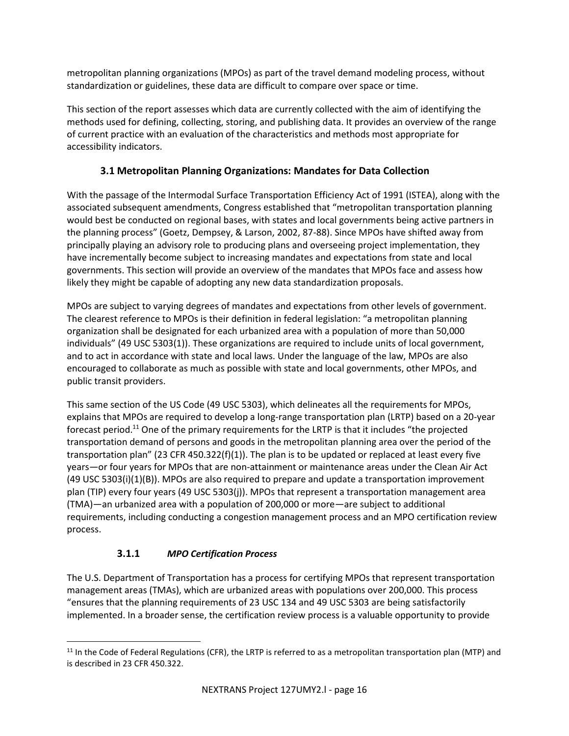metropolitan planning organizations (MPOs) as part of the travel demand modeling process, without standardization or guidelines, these data are difficult to compare over space or time.

This section of the report assesses which data are currently collected with the aim of identifying the methods used for defining, collecting, storing, and publishing data. It provides an overview of the range of current practice with an evaluation of the characteristics and methods most appropriate for accessibility indicators.

# **3.1 Metropolitan Planning Organizations: Mandates for Data Collection**

With the passage of the Intermodal Surface Transportation Efficiency Act of 1991 (ISTEA), along with the associated subsequent amendments, Congress established that "metropolitan transportation planning would best be conducted on regional bases, with states and local governments being active partners in the planning process" (Goetz, Dempsey, & Larson, 2002, 87-88). Since MPOs have shifted away from principally playing an advisory role to producing plans and overseeing project implementation, they have incrementally become subject to increasing mandates and expectations from state and local governments. This section will provide an overview of the mandates that MPOs face and assess how likely they might be capable of adopting any new data standardization proposals.

MPOs are subject to varying degrees of mandates and expectations from other levels of government. The clearest reference to MPOs is their definition in federal legislation: "a metropolitan planning organization shall be designated for each urbanized area with a population of more than 50,000 individuals" (49 USC 5303(1)). These organizations are required to include units of local government, and to act in accordance with state and local laws. Under the language of the law, MPOs are also encouraged to collaborate as much as possible with state and local governments, other MPOs, and public transit providers.

This same section of the US Code (49 USC 5303), which delineates all the requirements for MPOs, explains that MPOs are required to develop a long-range transportation plan (LRTP) based on a 20-year forecast period.<sup>11</sup> One of the primary requirements for the LRTP is that it includes "the projected transportation demand of persons and goods in the metropolitan planning area over the period of the transportation plan" (23 CFR 450.322(f)(1)). The plan is to be updated or replaced at least every five years—or four years for MPOs that are non-attainment or maintenance areas under the Clean Air Act (49 USC 5303(i)(1)(B)). MPOs are also required to prepare and update a transportation improvement plan (TIP) every four years (49 USC 5303(j)). MPOs that represent a transportation management area (TMA)—an urbanized area with a population of 200,000 or more—are subject to additional requirements, including conducting a congestion management process and an MPO certification review process.

# **3.1.1** *MPO Certification Process*

l

The U.S. Department of Transportation has a process for certifying MPOs that represent transportation management areas (TMAs), which are urbanized areas with populations over 200,000. This process "ensures that the planning requirements of 23 USC 134 and 49 USC 5303 are being satisfactorily implemented. In a broader sense, the certification review process is a valuable opportunity to provide

 $11$  In the Code of Federal Regulations (CFR), the LRTP is referred to as a metropolitan transportation plan (MTP) and is described in 23 CFR 450.322.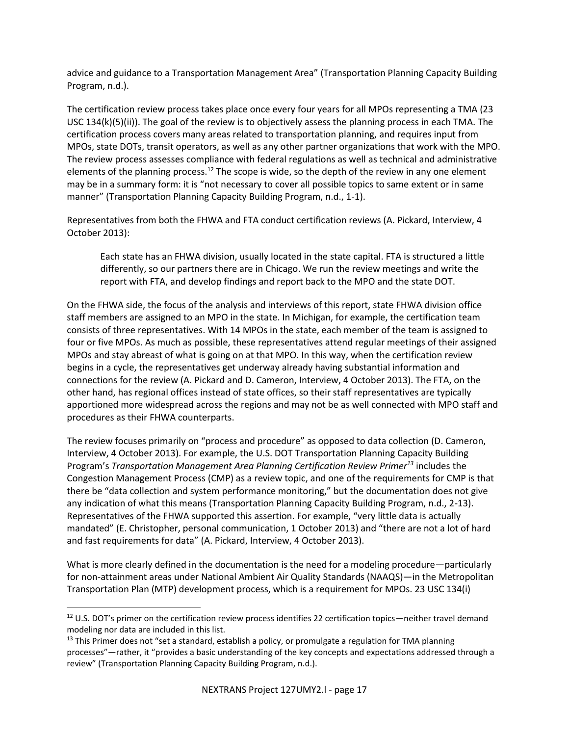advice and guidance to a Transportation Management Area" (Transportation Planning Capacity Building Program, n.d.).

The certification review process takes place once every four years for all MPOs representing a TMA (23 USC 134(k)(5)(ii)). The goal of the review is to objectively assess the planning process in each TMA. The certification process covers many areas related to transportation planning, and requires input from MPOs, state DOTs, transit operators, as well as any other partner organizations that work with the MPO. The review process assesses compliance with federal regulations as well as technical and administrative elements of the planning process.<sup>12</sup> The scope is wide, so the depth of the review in any one element may be in a summary form: it is "not necessary to cover all possible topics to same extent or in same manner" (Transportation Planning Capacity Building Program, n.d., 1-1).

Representatives from both the FHWA and FTA conduct certification reviews (A. Pickard, Interview, 4 October 2013):

Each state has an FHWA division, usually located in the state capital. FTA is structured a little differently, so our partners there are in Chicago. We run the review meetings and write the report with FTA, and develop findings and report back to the MPO and the state DOT.

On the FHWA side, the focus of the analysis and interviews of this report, state FHWA division office staff members are assigned to an MPO in the state. In Michigan, for example, the certification team consists of three representatives. With 14 MPOs in the state, each member of the team is assigned to four or five MPOs. As much as possible, these representatives attend regular meetings of their assigned MPOs and stay abreast of what is going on at that MPO. In this way, when the certification review begins in a cycle, the representatives get underway already having substantial information and connections for the review (A. Pickard and D. Cameron, Interview, 4 October 2013). The FTA, on the other hand, has regional offices instead of state offices, so their staff representatives are typically apportioned more widespread across the regions and may not be as well connected with MPO staff and procedures as their FHWA counterparts.

The review focuses primarily on "process and procedure" as opposed to data collection (D. Cameron, Interview, 4 October 2013). For example, the U.S. DOT Transportation Planning Capacity Building Program's *Transportation Management Area Planning Certification Review Primer<sup>13</sup>* includes the Congestion Management Process (CMP) as a review topic, and one of the requirements for CMP is that there be "data collection and system performance monitoring," but the documentation does not give any indication of what this means (Transportation Planning Capacity Building Program, n.d., 2-13). Representatives of the FHWA supported this assertion. For example, "very little data is actually mandated" (E. Christopher, personal communication, 1 October 2013) and "there are not a lot of hard and fast requirements for data" (A. Pickard, Interview, 4 October 2013).

What is more clearly defined in the documentation is the need for a modeling procedure—particularly for non-attainment areas under National Ambient Air Quality Standards (NAAQS)—in the Metropolitan Transportation Plan (MTP) development process, which is a requirement for MPOs. 23 USC 134(i)

l

 $12$  U.S. DOT's primer on the certification review process identifies 22 certification topics—neither travel demand modeling nor data are included in this list.

<sup>&</sup>lt;sup>13</sup> This Primer does not "set a standard, establish a policy, or promulgate a regulation for TMA planning processes"—rather, it "provides a basic understanding of the key concepts and expectations addressed through a review" (Transportation Planning Capacity Building Program, n.d.).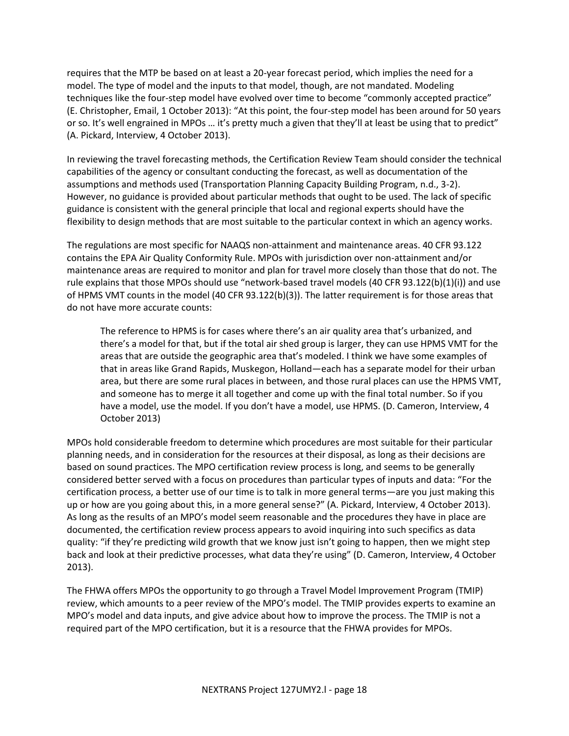requires that the MTP be based on at least a 20-year forecast period, which implies the need for a model. The type of model and the inputs to that model, though, are not mandated. Modeling techniques like the four-step model have evolved over time to become "commonly accepted practice" (E. Christopher, Email, 1 October 2013): "At this point, the four-step model has been around for 50 years or so. It's well engrained in MPOs … it's pretty much a given that they'll at least be using that to predict" (A. Pickard, Interview, 4 October 2013).

In reviewing the travel forecasting methods, the Certification Review Team should consider the technical capabilities of the agency or consultant conducting the forecast, as well as documentation of the assumptions and methods used (Transportation Planning Capacity Building Program, n.d., 3-2). However, no guidance is provided about particular methods that ought to be used. The lack of specific guidance is consistent with the general principle that local and regional experts should have the flexibility to design methods that are most suitable to the particular context in which an agency works.

The regulations are most specific for NAAQS non-attainment and maintenance areas. 40 CFR 93.122 contains the EPA Air Quality Conformity Rule. MPOs with jurisdiction over non-attainment and/or maintenance areas are required to monitor and plan for travel more closely than those that do not. The rule explains that those MPOs should use "network-based travel models (40 CFR 93.122(b)(1)(i)) and use of HPMS VMT counts in the model (40 CFR 93.122(b)(3)). The latter requirement is for those areas that do not have more accurate counts:

The reference to HPMS is for cases where there's an air quality area that's urbanized, and there's a model for that, but if the total air shed group is larger, they can use HPMS VMT for the areas that are outside the geographic area that's modeled. I think we have some examples of that in areas like Grand Rapids, Muskegon, Holland—each has a separate model for their urban area, but there are some rural places in between, and those rural places can use the HPMS VMT, and someone has to merge it all together and come up with the final total number. So if you have a model, use the model. If you don't have a model, use HPMS. (D. Cameron, Interview, 4 October 2013)

MPOs hold considerable freedom to determine which procedures are most suitable for their particular planning needs, and in consideration for the resources at their disposal, as long as their decisions are based on sound practices. The MPO certification review process is long, and seems to be generally considered better served with a focus on procedures than particular types of inputs and data: "For the certification process, a better use of our time is to talk in more general terms—are you just making this up or how are you going about this, in a more general sense?" (A. Pickard, Interview, 4 October 2013). As long as the results of an MPO's model seem reasonable and the procedures they have in place are documented, the certification review process appears to avoid inquiring into such specifics as data quality: "if they're predicting wild growth that we know just isn't going to happen, then we might step back and look at their predictive processes, what data they're using" (D. Cameron, Interview, 4 October 2013).

The FHWA offers MPOs the opportunity to go through a Travel Model Improvement Program (TMIP) review, which amounts to a peer review of the MPO's model. The TMIP provides experts to examine an MPO's model and data inputs, and give advice about how to improve the process. The TMIP is not a required part of the MPO certification, but it is a resource that the FHWA provides for MPOs.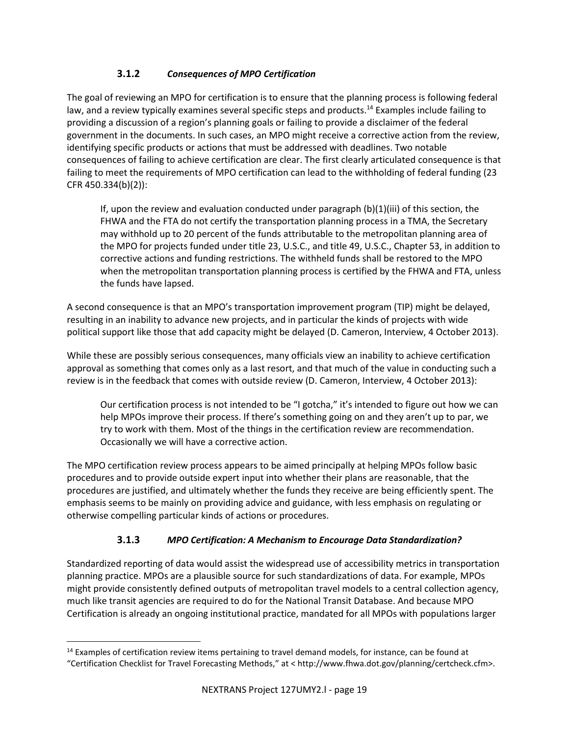# **3.1.2** *Consequences of MPO Certification*

The goal of reviewing an MPO for certification is to ensure that the planning process is following federal law, and a review typically examines several specific steps and products.<sup>14</sup> Examples include failing to providing a discussion of a region's planning goals or failing to provide a disclaimer of the federal government in the documents. In such cases, an MPO might receive a corrective action from the review, identifying specific products or actions that must be addressed with deadlines. Two notable consequences of failing to achieve certification are clear. The first clearly articulated consequence is that failing to meet the requirements of MPO certification can lead to the withholding of federal funding (23 CFR 450.334(b)(2)):

If, upon the review and evaluation conducted under paragraph  $(b)(1)(iii)$  of this section, the FHWA and the FTA do not certify the transportation planning process in a TMA, the Secretary may withhold up to 20 percent of the funds attributable to the metropolitan planning area of the MPO for projects funded under title 23, U.S.C., and title 49, U.S.C., Chapter 53, in addition to corrective actions and funding restrictions. The withheld funds shall be restored to the MPO when the metropolitan transportation planning process is certified by the FHWA and FTA, unless the funds have lapsed.

A second consequence is that an MPO's transportation improvement program (TIP) might be delayed, resulting in an inability to advance new projects, and in particular the kinds of projects with wide political support like those that add capacity might be delayed (D. Cameron, Interview, 4 October 2013).

While these are possibly serious consequences, many officials view an inability to achieve certification approval as something that comes only as a last resort, and that much of the value in conducting such a review is in the feedback that comes with outside review (D. Cameron, Interview, 4 October 2013):

Our certification process is not intended to be "I gotcha," it's intended to figure out how we can help MPOs improve their process. If there's something going on and they aren't up to par, we try to work with them. Most of the things in the certification review are recommendation. Occasionally we will have a corrective action.

The MPO certification review process appears to be aimed principally at helping MPOs follow basic procedures and to provide outside expert input into whether their plans are reasonable, that the procedures are justified, and ultimately whether the funds they receive are being efficiently spent. The emphasis seems to be mainly on providing advice and guidance, with less emphasis on regulating or otherwise compelling particular kinds of actions or procedures.

# **3.1.3** *MPO Certification: A Mechanism to Encourage Data Standardization?*

Standardized reporting of data would assist the widespread use of accessibility metrics in transportation planning practice. MPOs are a plausible source for such standardizations of data. For example, MPOs might provide consistently defined outputs of metropolitan travel models to a central collection agency, much like transit agencies are required to do for the National Transit Database. And because MPO Certification is already an ongoing institutional practice, mandated for all MPOs with populations larger

l <sup>14</sup> Examples of certification review items pertaining to travel demand models, for instance, can be found at "Certification Checklist for Travel Forecasting Methods," at < http://www.fhwa.dot.gov/planning/certcheck.cfm>.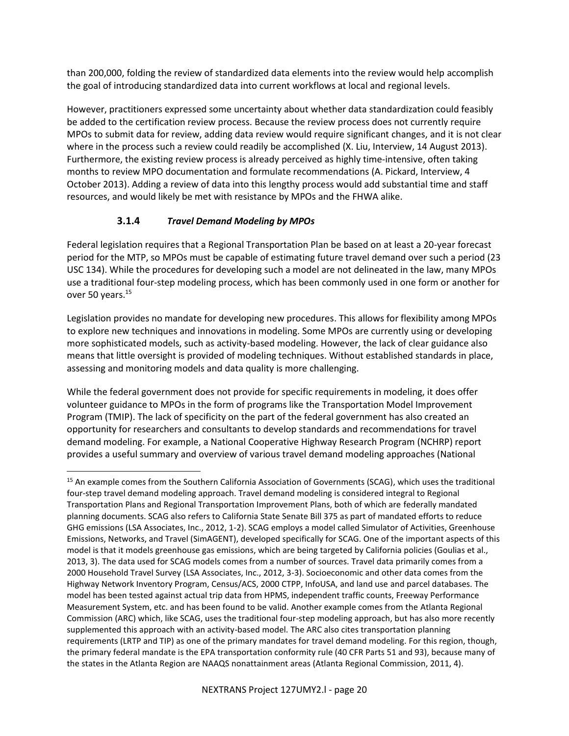than 200,000, folding the review of standardized data elements into the review would help accomplish the goal of introducing standardized data into current workflows at local and regional levels.

However, practitioners expressed some uncertainty about whether data standardization could feasibly be added to the certification review process. Because the review process does not currently require MPOs to submit data for review, adding data review would require significant changes, and it is not clear where in the process such a review could readily be accomplished (X. Liu, Interview, 14 August 2013). Furthermore, the existing review process is already perceived as highly time-intensive, often taking months to review MPO documentation and formulate recommendations (A. Pickard, Interview, 4 October 2013). Adding a review of data into this lengthy process would add substantial time and staff resources, and would likely be met with resistance by MPOs and the FHWA alike.

#### **3.1.4** *Travel Demand Modeling by MPOs*

Federal legislation requires that a Regional Transportation Plan be based on at least a 20-year forecast period for the MTP, so MPOs must be capable of estimating future travel demand over such a period (23 USC 134). While the procedures for developing such a model are not delineated in the law, many MPOs use a traditional four-step modeling process, which has been commonly used in one form or another for over 50 years.<sup>15</sup>

Legislation provides no mandate for developing new procedures. This allows for flexibility among MPOs to explore new techniques and innovations in modeling. Some MPOs are currently using or developing more sophisticated models, such as activity-based modeling. However, the lack of clear guidance also means that little oversight is provided of modeling techniques. Without established standards in place, assessing and monitoring models and data quality is more challenging.

While the federal government does not provide for specific requirements in modeling, it does offer volunteer guidance to MPOs in the form of programs like the Transportation Model Improvement Program (TMIP). The lack of specificity on the part of the federal government has also created an opportunity for researchers and consultants to develop standards and recommendations for travel demand modeling. For example, a National Cooperative Highway Research Program (NCHRP) report provides a useful summary and overview of various travel demand modeling approaches (National

 $\overline{\phantom{a}}$ <sup>15</sup> An example comes from the Southern California Association of Governments (SCAG), which uses the traditional four-step travel demand modeling approach. Travel demand modeling is considered integral to Regional Transportation Plans and Regional Transportation Improvement Plans, both of which are federally mandated planning documents. SCAG also refers to California State Senate Bill 375 as part of mandated efforts to reduce GHG emissions (LSA Associates, Inc., 2012, 1-2). SCAG employs a model called Simulator of Activities, Greenhouse Emissions, Networks, and Travel (SimAGENT), developed specifically for SCAG. One of the important aspects of this model is that it models greenhouse gas emissions, which are being targeted by California policies (Goulias et al., 2013, 3). The data used for SCAG models comes from a number of sources. Travel data primarily comes from a 2000 Household Travel Survey (LSA Associates, Inc., 2012, 3-3). Socioeconomic and other data comes from the Highway Network Inventory Program, Census/ACS, 2000 CTPP, InfoUSA, and land use and parcel databases. The model has been tested against actual trip data from HPMS, independent traffic counts, Freeway Performance Measurement System, etc. and has been found to be valid. Another example comes from the Atlanta Regional Commission (ARC) which, like SCAG, uses the traditional four-step modeling approach, but has also more recently supplemented this approach with an activity-based model. The ARC also cites transportation planning requirements (LRTP and TIP) as one of the primary mandates for travel demand modeling. For this region, though, the primary federal mandate is the EPA transportation conformity rule (40 CFR Parts 51 and 93), because many of the states in the Atlanta Region are NAAQS nonattainment areas (Atlanta Regional Commission, 2011, 4).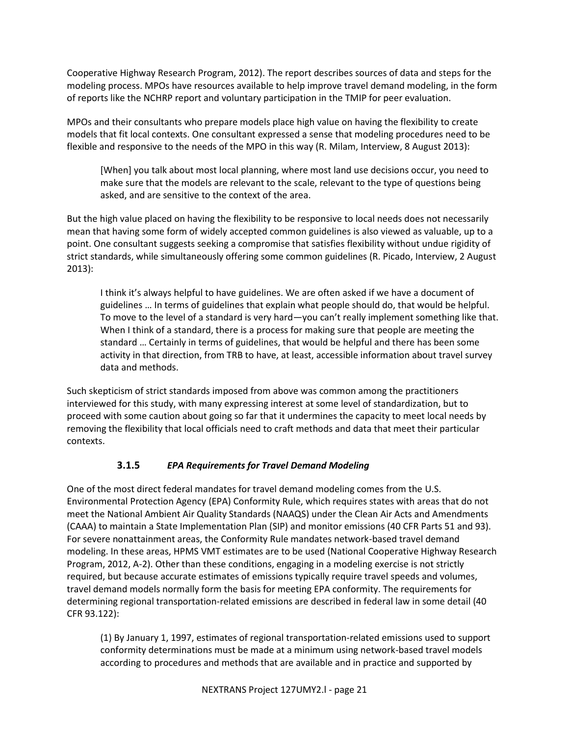Cooperative Highway Research Program, 2012). The report describes sources of data and steps for the modeling process. MPOs have resources available to help improve travel demand modeling, in the form of reports like the NCHRP report and voluntary participation in the TMIP for peer evaluation.

MPOs and their consultants who prepare models place high value on having the flexibility to create models that fit local contexts. One consultant expressed a sense that modeling procedures need to be flexible and responsive to the needs of the MPO in this way (R. Milam, Interview, 8 August 2013):

[When] you talk about most local planning, where most land use decisions occur, you need to make sure that the models are relevant to the scale, relevant to the type of questions being asked, and are sensitive to the context of the area.

But the high value placed on having the flexibility to be responsive to local needs does not necessarily mean that having some form of widely accepted common guidelines is also viewed as valuable, up to a point. One consultant suggests seeking a compromise that satisfies flexibility without undue rigidity of strict standards, while simultaneously offering some common guidelines (R. Picado, Interview, 2 August 2013):

I think it's always helpful to have guidelines. We are often asked if we have a document of guidelines … In terms of guidelines that explain what people should do, that would be helpful. To move to the level of a standard is very hard—you can't really implement something like that. When I think of a standard, there is a process for making sure that people are meeting the standard … Certainly in terms of guidelines, that would be helpful and there has been some activity in that direction, from TRB to have, at least, accessible information about travel survey data and methods.

Such skepticism of strict standards imposed from above was common among the practitioners interviewed for this study, with many expressing interest at some level of standardization, but to proceed with some caution about going so far that it undermines the capacity to meet local needs by removing the flexibility that local officials need to craft methods and data that meet their particular contexts.

# **3.1.5** *EPA Requirements for Travel Demand Modeling*

One of the most direct federal mandates for travel demand modeling comes from the U.S. Environmental Protection Agency (EPA) Conformity Rule, which requires states with areas that do not meet the National Ambient Air Quality Standards (NAAQS) under the Clean Air Acts and Amendments (CAAA) to maintain a State Implementation Plan (SIP) and monitor emissions (40 CFR Parts 51 and 93). For severe nonattainment areas, the Conformity Rule mandates network-based travel demand modeling. In these areas, HPMS VMT estimates are to be used (National Cooperative Highway Research Program, 2012, A-2). Other than these conditions, engaging in a modeling exercise is not strictly required, but because accurate estimates of emissions typically require travel speeds and volumes, travel demand models normally form the basis for meeting EPA conformity. The requirements for determining regional transportation-related emissions are described in federal law in some detail (40 CFR 93.122):

(1) By January 1, 1997, estimates of regional transportation-related emissions used to support conformity determinations must be made at a minimum using network-based travel models according to procedures and methods that are available and in practice and supported by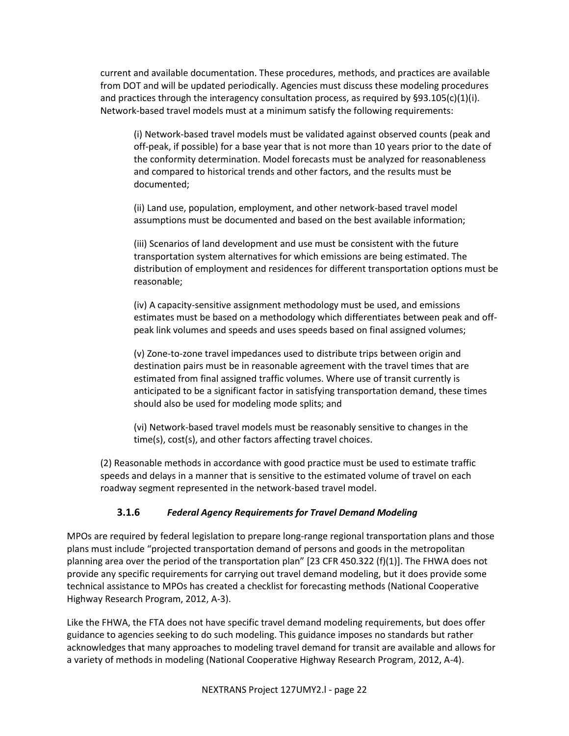current and available documentation. These procedures, methods, and practices are available from DOT and will be updated periodically. Agencies must discuss these modeling procedures and practices through the interagency consultation process, as required by §93.105(c)(1)(i). Network-based travel models must at a minimum satisfy the following requirements:

(i) Network-based travel models must be validated against observed counts (peak and off-peak, if possible) for a base year that is not more than 10 years prior to the date of the conformity determination. Model forecasts must be analyzed for reasonableness and compared to historical trends and other factors, and the results must be documented;

(ii) Land use, population, employment, and other network-based travel model assumptions must be documented and based on the best available information;

(iii) Scenarios of land development and use must be consistent with the future transportation system alternatives for which emissions are being estimated. The distribution of employment and residences for different transportation options must be reasonable;

(iv) A capacity-sensitive assignment methodology must be used, and emissions estimates must be based on a methodology which differentiates between peak and offpeak link volumes and speeds and uses speeds based on final assigned volumes;

(v) Zone-to-zone travel impedances used to distribute trips between origin and destination pairs must be in reasonable agreement with the travel times that are estimated from final assigned traffic volumes. Where use of transit currently is anticipated to be a significant factor in satisfying transportation demand, these times should also be used for modeling mode splits; and

(vi) Network-based travel models must be reasonably sensitive to changes in the time(s), cost(s), and other factors affecting travel choices.

(2) Reasonable methods in accordance with good practice must be used to estimate traffic speeds and delays in a manner that is sensitive to the estimated volume of travel on each roadway segment represented in the network-based travel model.

#### **3.1.6** *Federal Agency Requirements for Travel Demand Modeling*

MPOs are required by federal legislation to prepare long-range regional transportation plans and those plans must include "projected transportation demand of persons and goods in the metropolitan planning area over the period of the transportation plan" [23 CFR 450.322 (f)(1)]. The FHWA does not provide any specific requirements for carrying out travel demand modeling, but it does provide some technical assistance to MPOs has created a checklist for forecasting methods (National Cooperative Highway Research Program, 2012, A-3).

Like the FHWA, the FTA does not have specific travel demand modeling requirements, but does offer guidance to agencies seeking to do such modeling. This guidance imposes no standards but rather acknowledges that many approaches to modeling travel demand for transit are available and allows for a variety of methods in modeling (National Cooperative Highway Research Program, 2012, A-4).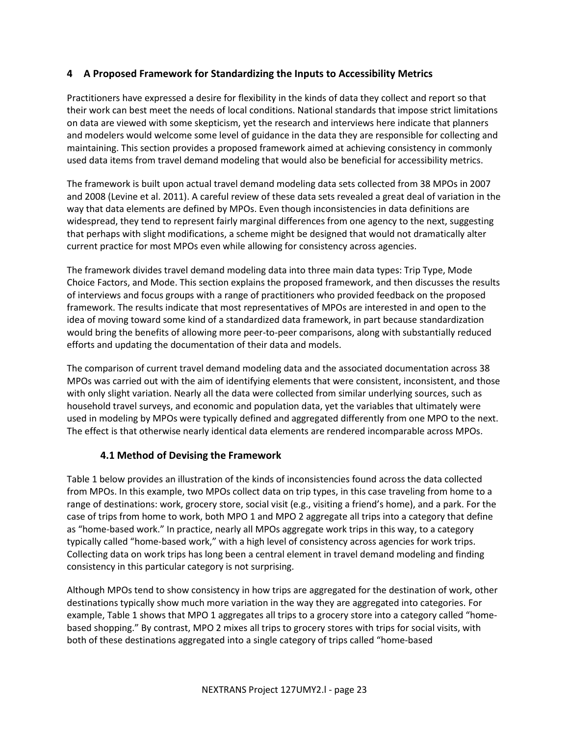#### **4 A Proposed Framework for Standardizing the Inputs to Accessibility Metrics**

Practitioners have expressed a desire for flexibility in the kinds of data they collect and report so that their work can best meet the needs of local conditions. National standards that impose strict limitations on data are viewed with some skepticism, yet the research and interviews here indicate that planners and modelers would welcome some level of guidance in the data they are responsible for collecting and maintaining. This section provides a proposed framework aimed at achieving consistency in commonly used data items from travel demand modeling that would also be beneficial for accessibility metrics.

The framework is built upon actual travel demand modeling data sets collected from 38 MPOs in 2007 and 2008 (Levine et al. 2011). A careful review of these data sets revealed a great deal of variation in the way that data elements are defined by MPOs. Even though inconsistencies in data definitions are widespread, they tend to represent fairly marginal differences from one agency to the next, suggesting that perhaps with slight modifications, a scheme might be designed that would not dramatically alter current practice for most MPOs even while allowing for consistency across agencies.

The framework divides travel demand modeling data into three main data types: Trip Type, Mode Choice Factors, and Mode. This section explains the proposed framework, and then discusses the results of interviews and focus groups with a range of practitioners who provided feedback on the proposed framework. The results indicate that most representatives of MPOs are interested in and open to the idea of moving toward some kind of a standardized data framework, in part because standardization would bring the benefits of allowing more peer-to-peer comparisons, along with substantially reduced efforts and updating the documentation of their data and models.

The comparison of current travel demand modeling data and the associated documentation across 38 MPOs was carried out with the aim of identifying elements that were consistent, inconsistent, and those with only slight variation. Nearly all the data were collected from similar underlying sources, such as household travel surveys, and economic and population data, yet the variables that ultimately were used in modeling by MPOs were typically defined and aggregated differently from one MPO to the next. The effect is that otherwise nearly identical data elements are rendered incomparable across MPOs.

# **4.1 Method of Devising the Framework**

Table 1 below provides an illustration of the kinds of inconsistencies found across the data collected from MPOs. In this example, two MPOs collect data on trip types, in this case traveling from home to a range of destinations: work, grocery store, social visit (e.g., visiting a friend's home), and a park. For the case of trips from home to work, both MPO 1 and MPO 2 aggregate all trips into a category that define as "home-based work." In practice, nearly all MPOs aggregate work trips in this way, to a category typically called "home-based work," with a high level of consistency across agencies for work trips. Collecting data on work trips has long been a central element in travel demand modeling and finding consistency in this particular category is not surprising.

Although MPOs tend to show consistency in how trips are aggregated for the destination of work, other destinations typically show much more variation in the way they are aggregated into categories. For example, Table 1 shows that MPO 1 aggregates all trips to a grocery store into a category called "homebased shopping." By contrast, MPO 2 mixes all trips to grocery stores with trips for social visits, with both of these destinations aggregated into a single category of trips called "home-based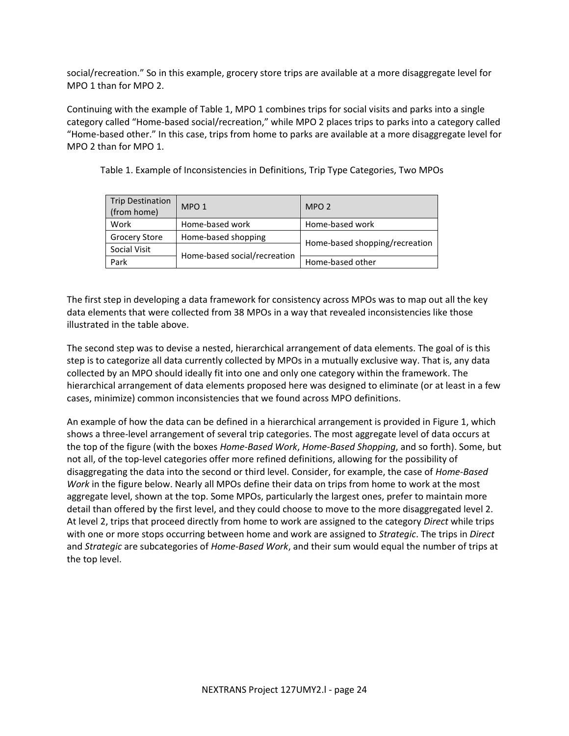social/recreation." So in this example, grocery store trips are available at a more disaggregate level for MPO 1 than for MPO 2.

Continuing with the example of Table 1, MPO 1 combines trips for social visits and parks into a single category called "Home-based social/recreation," while MPO 2 places trips to parks into a category called "Home-based other." In this case, trips from home to parks are available at a more disaggregate level for MPO 2 than for MPO 1.

| <b>Trip Destination</b><br>(from home) | MPO <sub>1</sub>             | MPO <sub>2</sub>               |  |
|----------------------------------------|------------------------------|--------------------------------|--|
| Work                                   | Home-based work              | Home-based work                |  |
| <b>Grocery Store</b>                   | Home-based shopping          | Home-based shopping/recreation |  |
| Social Visit                           |                              |                                |  |
| Park                                   | Home-based social/recreation | Home-based other               |  |

Table 1. Example of Inconsistencies in Definitions, Trip Type Categories, Two MPOs

The first step in developing a data framework for consistency across MPOs was to map out all the key data elements that were collected from 38 MPOs in a way that revealed inconsistencies like those illustrated in the table above.

The second step was to devise a nested, hierarchical arrangement of data elements. The goal of is this step is to categorize all data currently collected by MPOs in a mutually exclusive way. That is, any data collected by an MPO should ideally fit into one and only one category within the framework. The hierarchical arrangement of data elements proposed here was designed to eliminate (or at least in a few cases, minimize) common inconsistencies that we found across MPO definitions.

An example of how the data can be defined in a hierarchical arrangement is provided in Figure 1, which shows a three-level arrangement of several trip categories. The most aggregate level of data occurs at the top of the figure (with the boxes *Home-Based Work*, *Home-Based Shopping*, and so forth). Some, but not all, of the top-level categories offer more refined definitions, allowing for the possibility of disaggregating the data into the second or third level. Consider, for example, the case of *Home-Based Work* in the figure below. Nearly all MPOs define their data on trips from home to work at the most aggregate level, shown at the top. Some MPOs, particularly the largest ones, prefer to maintain more detail than offered by the first level, and they could choose to move to the more disaggregated level 2. At level 2, trips that proceed directly from home to work are assigned to the category *Direct* while trips with one or more stops occurring between home and work are assigned to *Strategic*. The trips in *Direct* and *Strategic* are subcategories of *Home-Based Work*, and their sum would equal the number of trips at the top level.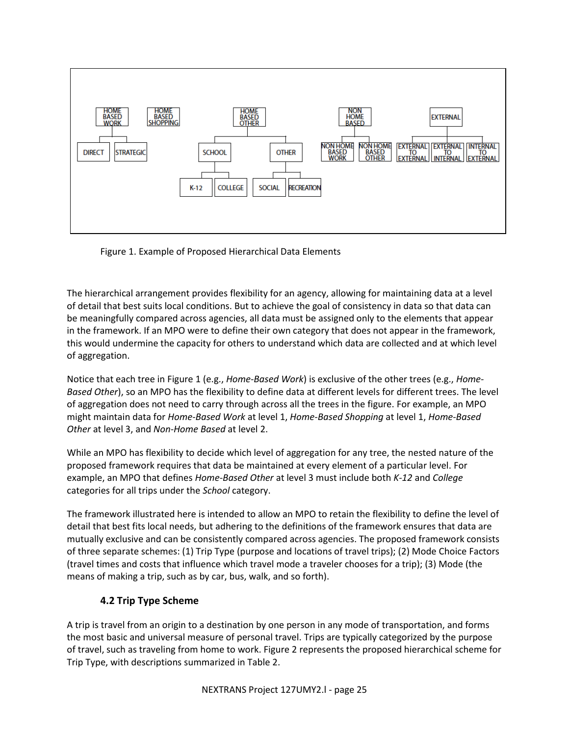

Figure 1. Example of Proposed Hierarchical Data Elements

The hierarchical arrangement provides flexibility for an agency, allowing for maintaining data at a level of detail that best suits local conditions. But to achieve the goal of consistency in data so that data can be meaningfully compared across agencies, all data must be assigned only to the elements that appear in the framework. If an MPO were to define their own category that does not appear in the framework, this would undermine the capacity for others to understand which data are collected and at which level of aggregation.

Notice that each tree in Figure 1 (e.g., *Home-Based Work*) is exclusive of the other trees (e.g., *Home-Based Other*), so an MPO has the flexibility to define data at different levels for different trees. The level of aggregation does not need to carry through across all the trees in the figure. For example, an MPO might maintain data for *Home-Based Work* at level 1, *Home-Based Shopping* at level 1, *Home-Based Other* at level 3, and *Non-Home Based* at level 2.

While an MPO has flexibility to decide which level of aggregation for any tree, the nested nature of the proposed framework requires that data be maintained at every element of a particular level. For example, an MPO that defines *Home-Based Other* at level 3 must include both *K-12* and *College* categories for all trips under the *School* category.

The framework illustrated here is intended to allow an MPO to retain the flexibility to define the level of detail that best fits local needs, but adhering to the definitions of the framework ensures that data are mutually exclusive and can be consistently compared across agencies. The proposed framework consists of three separate schemes: (1) Trip Type (purpose and locations of travel trips); (2) Mode Choice Factors (travel times and costs that influence which travel mode a traveler chooses for a trip); (3) Mode (the means of making a trip, such as by car, bus, walk, and so forth).

# **4.2 Trip Type Scheme**

A trip is travel from an origin to a destination by one person in any mode of transportation, and forms the most basic and universal measure of personal travel. Trips are typically categorized by the purpose of travel, such as traveling from home to work. Figure 2 represents the proposed hierarchical scheme for Trip Type, with descriptions summarized in Table 2.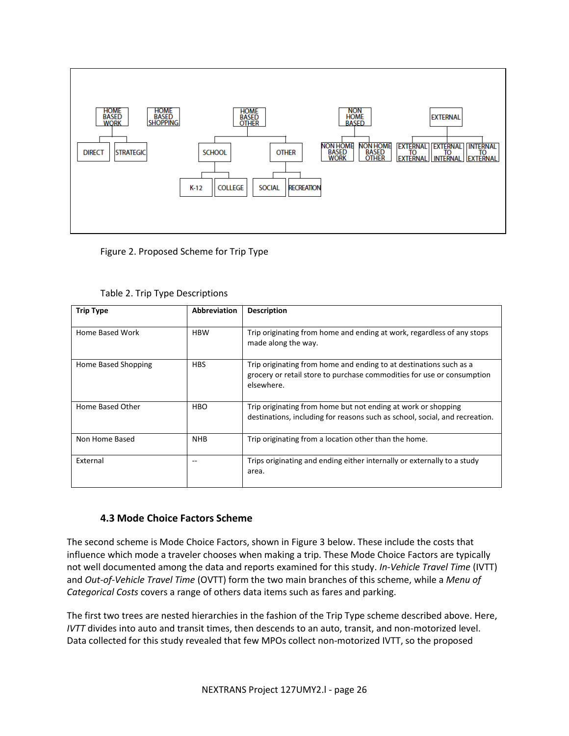

Figure 2. Proposed Scheme for Trip Type

| <b>Trip Type</b>    | <b>Abbreviation</b> | <b>Description</b>                                                                                                                                         |  |
|---------------------|---------------------|------------------------------------------------------------------------------------------------------------------------------------------------------------|--|
| Home Based Work     | <b>HBW</b>          | Trip originating from home and ending at work, regardless of any stops<br>made along the way.                                                              |  |
| Home Based Shopping | <b>HBS</b>          | Trip originating from home and ending to at destinations such as a<br>grocery or retail store to purchase commodities for use or consumption<br>elsewhere. |  |
| Home Based Other    | <b>HBO</b>          | Trip originating from home but not ending at work or shopping<br>destinations, including for reasons such as school, social, and recreation.               |  |
| Non Home Based      | <b>NHB</b>          | Trip originating from a location other than the home.                                                                                                      |  |
| External            | --                  | Trips originating and ending either internally or externally to a study<br>area.                                                                           |  |

Table 2. Trip Type Descriptions

# **4.3 Mode Choice Factors Scheme**

The second scheme is Mode Choice Factors, shown in Figure 3 below. These include the costs that influence which mode a traveler chooses when making a trip. These Mode Choice Factors are typically not well documented among the data and reports examined for this study. *In-Vehicle Travel Time* (IVTT) and *Out-of-Vehicle Travel Time* (OVTT) form the two main branches of this scheme, while a *Menu of Categorical Costs* covers a range of others data items such as fares and parking.

The first two trees are nested hierarchies in the fashion of the Trip Type scheme described above. Here, *IVTT* divides into auto and transit times, then descends to an auto, transit, and non-motorized level. Data collected for this study revealed that few MPOs collect non-motorized IVTT, so the proposed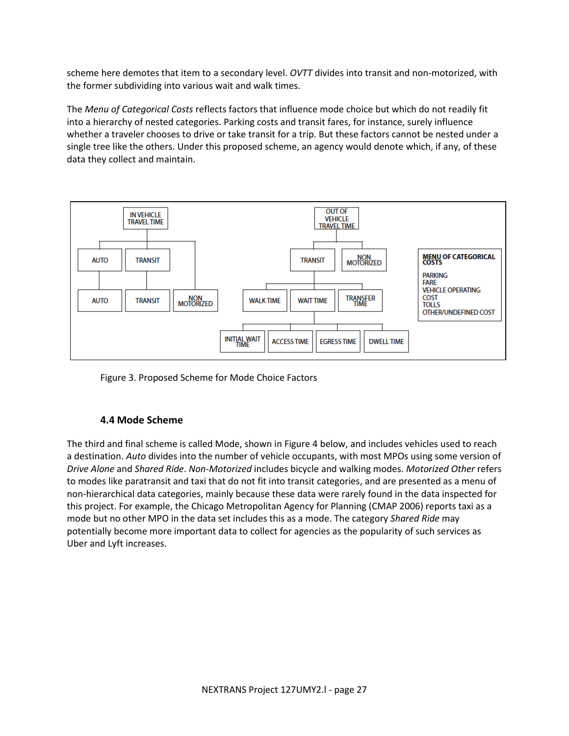scheme here demotes that item to a secondary level. *OVTT* divides into transit and non-motorized, with the former subdividing into various wait and walk times.

The *Menu of Categorical Costs* reflects factors that influence mode choice but which do not readily fit into a hierarchy of nested categories. Parking costs and transit fares, for instance, surely influence whether a traveler chooses to drive or take transit for a trip. But these factors cannot be nested under a single tree like the others. Under this proposed scheme, an agency would denote which, if any, of these data they collect and maintain.



Figure 3. Proposed Scheme for Mode Choice Factors

#### **4.4 Mode Scheme**

The third and final scheme is called Mode, shown in Figure 4 below, and includes vehicles used to reach a destination. *Auto* divides into the number of vehicle occupants, with most MPOs using some version of *Drive Alone* and *Shared Ride*. *Non-Motorized* includes bicycle and walking modes. *Motorized Other* refers to modes like paratransit and taxi that do not fit into transit categories, and are presented as a menu of non-hierarchical data categories, mainly because these data were rarely found in the data inspected for this project. For example, the Chicago Metropolitan Agency for Planning (CMAP 2006) reports taxi as a mode but no other MPO in the data set includes this as a mode. The category *Shared Ride* may potentially become more important data to collect for agencies as the popularity of such services as Uber and Lyft increases.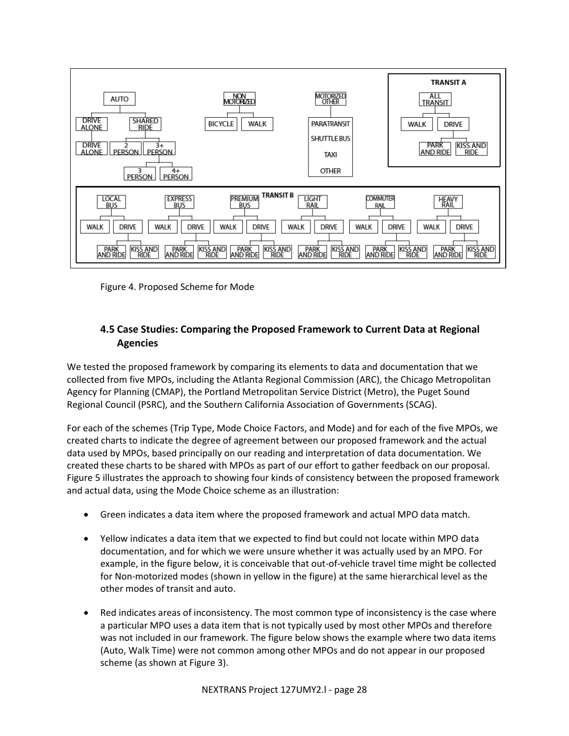

Figure 4. Proposed Scheme for Mode

# **4.5 Case Studies: Comparing the Proposed Framework to Current Data at Regional Agencies**

We tested the proposed framework by comparing its elements to data and documentation that we collected from five MPOs, including the Atlanta Regional Commission (ARC), the Chicago Metropolitan Agency for Planning (CMAP), the Portland Metropolitan Service District (Metro), the Puget Sound Regional Council (PSRC), and the Southern California Association of Governments (SCAG).

For each of the schemes (Trip Type, Mode Choice Factors, and Mode) and for each of the five MPOs, we created charts to indicate the degree of agreement between our proposed framework and the actual data used by MPOs, based principally on our reading and interpretation of data documentation. We created these charts to be shared with MPOs as part of our effort to gather feedback on our proposal. Figure 5 illustrates the approach to showing four kinds of consistency between the proposed framework and actual data, using the Mode Choice scheme as an illustration:

- Green indicates a data item where the proposed framework and actual MPO data match.
- Yellow indicates a data item that we expected to find but could not locate within MPO data documentation, and for which we were unsure whether it was actually used by an MPO. For example, in the figure below, it is conceivable that out-of-vehicle travel time might be collected for Non-motorized modes (shown in yellow in the figure) at the same hierarchical level as the other modes of transit and auto.
- Red indicates areas of inconsistency. The most common type of inconsistency is the case where a particular MPO uses a data item that is not typically used by most other MPOs and therefore was not included in our framework. The figure below shows the example where two data items (Auto, Walk Time) were not common among other MPOs and do not appear in our proposed scheme (as shown at Figure 3).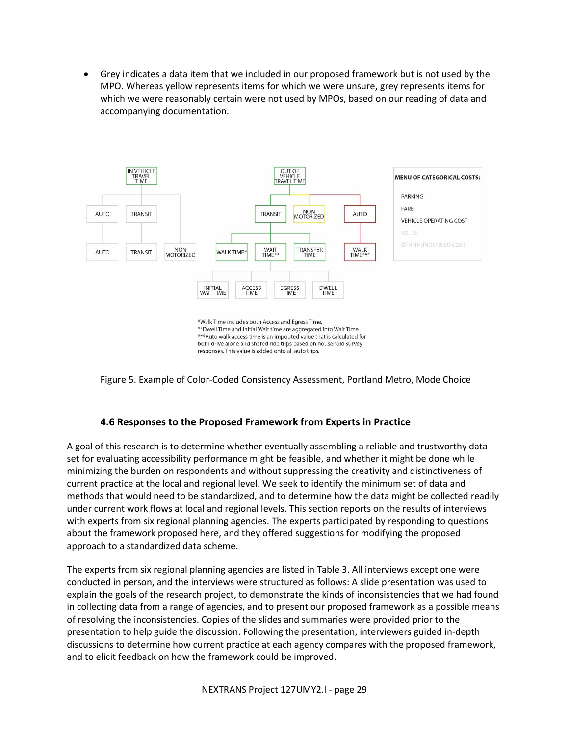Grey indicates a data item that we included in our proposed framework but is not used by the MPO. Whereas yellow represents items for which we were unsure, grey represents items for which we were reasonably certain were not used by MPOs, based on our reading of data and accompanying documentation.





#### **4.6 Responses to the Proposed Framework from Experts in Practice**

A goal of this research is to determine whether eventually assembling a reliable and trustworthy data set for evaluating accessibility performance might be feasible, and whether it might be done while minimizing the burden on respondents and without suppressing the creativity and distinctiveness of current practice at the local and regional level. We seek to identify the minimum set of data and methods that would need to be standardized, and to determine how the data might be collected readily under current work flows at local and regional levels. This section reports on the results of interviews with experts from six regional planning agencies. The experts participated by responding to questions about the framework proposed here, and they offered suggestions for modifying the proposed approach to a standardized data scheme.

The experts from six regional planning agencies are listed in Table 3. All interviews except one were conducted in person, and the interviews were structured as follows: A slide presentation was used to explain the goals of the research project, to demonstrate the kinds of inconsistencies that we had found in collecting data from a range of agencies, and to present our proposed framework as a possible means of resolving the inconsistencies. Copies of the slides and summaries were provided prior to the presentation to help guide the discussion. Following the presentation, interviewers guided in-depth discussions to determine how current practice at each agency compares with the proposed framework, and to elicit feedback on how the framework could be improved.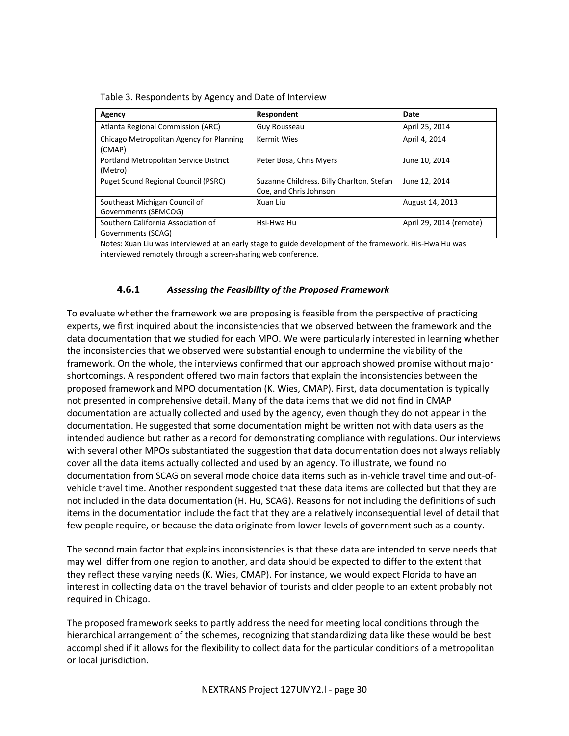| Agency                                                   | Respondent                                                          | Date                    |
|----------------------------------------------------------|---------------------------------------------------------------------|-------------------------|
| Atlanta Regional Commission (ARC)                        | Guy Rousseau                                                        | April 25, 2014          |
| Chicago Metropolitan Agency for Planning<br>(CMAP)       | <b>Kermit Wies</b>                                                  | April 4, 2014           |
| Portland Metropolitan Service District<br>(Metro)        | Peter Bosa, Chris Myers                                             | June 10, 2014           |
| Puget Sound Regional Council (PSRC)                      | Suzanne Childress, Billy Charlton, Stefan<br>Coe, and Chris Johnson | June 12, 2014           |
| Southeast Michigan Council of<br>Governments (SEMCOG)    | Xuan Liu                                                            | August 14, 2013         |
| Southern California Association of<br>Governments (SCAG) | Hsi-Hwa Hu                                                          | April 29, 2014 (remote) |

Table 3. Respondents by Agency and Date of Interview

Notes: Xuan Liu was interviewed at an early stage to guide development of the framework. His-Hwa Hu was interviewed remotely through a screen-sharing web conference.

#### **4.6.1** *Assessing the Feasibility of the Proposed Framework*

To evaluate whether the framework we are proposing is feasible from the perspective of practicing experts, we first inquired about the inconsistencies that we observed between the framework and the data documentation that we studied for each MPO. We were particularly interested in learning whether the inconsistencies that we observed were substantial enough to undermine the viability of the framework. On the whole, the interviews confirmed that our approach showed promise without major shortcomings. A respondent offered two main factors that explain the inconsistencies between the proposed framework and MPO documentation (K. Wies, CMAP). First, data documentation is typically not presented in comprehensive detail. Many of the data items that we did not find in CMAP documentation are actually collected and used by the agency, even though they do not appear in the documentation. He suggested that some documentation might be written not with data users as the intended audience but rather as a record for demonstrating compliance with regulations. Our interviews with several other MPOs substantiated the suggestion that data documentation does not always reliably cover all the data items actually collected and used by an agency. To illustrate, we found no documentation from SCAG on several mode choice data items such as in-vehicle travel time and out-ofvehicle travel time. Another respondent suggested that these data items are collected but that they are not included in the data documentation (H. Hu, SCAG). Reasons for not including the definitions of such items in the documentation include the fact that they are a relatively inconsequential level of detail that few people require, or because the data originate from lower levels of government such as a county.

The second main factor that explains inconsistencies is that these data are intended to serve needs that may well differ from one region to another, and data should be expected to differ to the extent that they reflect these varying needs (K. Wies, CMAP). For instance, we would expect Florida to have an interest in collecting data on the travel behavior of tourists and older people to an extent probably not required in Chicago.

The proposed framework seeks to partly address the need for meeting local conditions through the hierarchical arrangement of the schemes, recognizing that standardizing data like these would be best accomplished if it allows for the flexibility to collect data for the particular conditions of a metropolitan or local jurisdiction.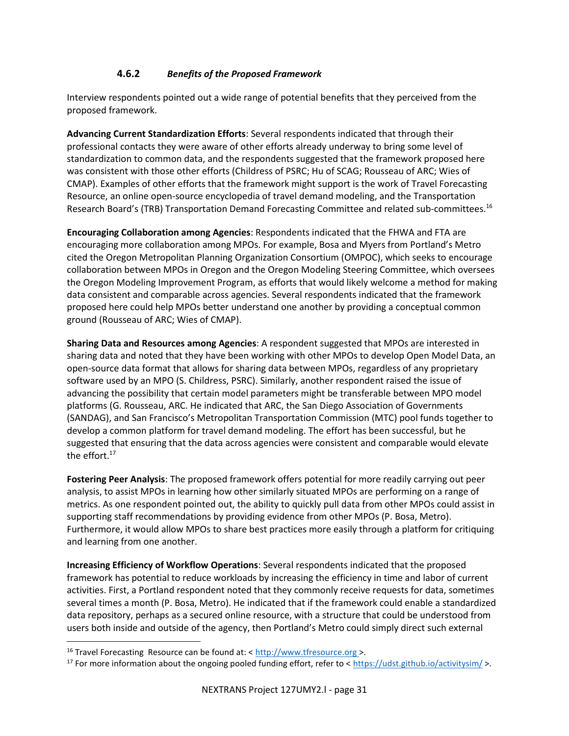#### **4.6.2** *Benefits of the Proposed Framework*

Interview respondents pointed out a wide range of potential benefits that they perceived from the proposed framework.

**Advancing Current Standardization Efforts**: Several respondents indicated that through their professional contacts they were aware of other efforts already underway to bring some level of standardization to common data, and the respondents suggested that the framework proposed here was consistent with those other efforts (Childress of PSRC; Hu of SCAG; Rousseau of ARC; Wies of CMAP). Examples of other efforts that the framework might support is the work of Travel Forecasting Resource, an online open-source encyclopedia of travel demand modeling, and the Transportation Research Board's (TRB) Transportation Demand Forecasting Committee and related sub-committees.<sup>16</sup>

**Encouraging Collaboration among Agencies**: Respondents indicated that the FHWA and FTA are encouraging more collaboration among MPOs. For example, Bosa and Myers from Portland's Metro cited the Oregon Metropolitan Planning Organization Consortium (OMPOC), which seeks to encourage collaboration between MPOs in Oregon and the Oregon Modeling Steering Committee, which oversees the Oregon Modeling Improvement Program, as efforts that would likely welcome a method for making data consistent and comparable across agencies. Several respondents indicated that the framework proposed here could help MPOs better understand one another by providing a conceptual common ground (Rousseau of ARC; Wies of CMAP).

**Sharing Data and Resources among Agencies**: A respondent suggested that MPOs are interested in sharing data and noted that they have been working with other MPOs to develop Open Model Data, an open-source data format that allows for sharing data between MPOs, regardless of any proprietary software used by an MPO (S. Childress, PSRC). Similarly, another respondent raised the issue of advancing the possibility that certain model parameters might be transferable between MPO model platforms (G. Rousseau, ARC. He indicated that ARC, the San Diego Association of Governments (SANDAG), and San Francisco's Metropolitan Transportation Commission (MTC) pool funds together to develop a common platform for travel demand modeling. The effort has been successful, but he suggested that ensuring that the data across agencies were consistent and comparable would elevate the effort.<sup>17</sup>

**Fostering Peer Analysis**: The proposed framework offers potential for more readily carrying out peer analysis, to assist MPOs in learning how other similarly situated MPOs are performing on a range of metrics. As one respondent pointed out, the ability to quickly pull data from other MPOs could assist in supporting staff recommendations by providing evidence from other MPOs (P. Bosa, Metro). Furthermore, it would allow MPOs to share best practices more easily through a platform for critiquing and learning from one another.

**Increasing Efficiency of Workflow Operations**: Several respondents indicated that the proposed framework has potential to reduce workloads by increasing the efficiency in time and labor of current activities. First, a Portland respondent noted that they commonly receive requests for data, sometimes several times a month (P. Bosa, Metro). He indicated that if the framework could enable a standardized data repository, perhaps as a secured online resource, with a structure that could be understood from users both inside and outside of the agency, then Portland's Metro could simply direct such external

l

<sup>&</sup>lt;sup>16</sup> Travel Forecasting Resource can be found at: < http://www.tfresource.org >.

<sup>&</sup>lt;sup>17</sup> For more information about the ongoing pooled funding effort, refer to <<https://udst.github.io/activitysim/> >.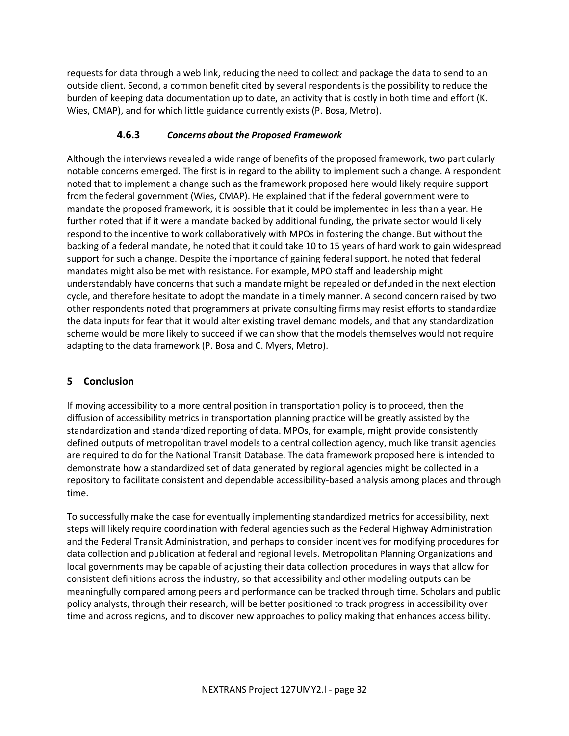requests for data through a web link, reducing the need to collect and package the data to send to an outside client. Second, a common benefit cited by several respondents is the possibility to reduce the burden of keeping data documentation up to date, an activity that is costly in both time and effort (K. Wies, CMAP), and for which little guidance currently exists (P. Bosa, Metro).

#### **4.6.3** *Concerns about the Proposed Framework*

Although the interviews revealed a wide range of benefits of the proposed framework, two particularly notable concerns emerged. The first is in regard to the ability to implement such a change. A respondent noted that to implement a change such as the framework proposed here would likely require support from the federal government (Wies, CMAP). He explained that if the federal government were to mandate the proposed framework, it is possible that it could be implemented in less than a year. He further noted that if it were a mandate backed by additional funding, the private sector would likely respond to the incentive to work collaboratively with MPOs in fostering the change. But without the backing of a federal mandate, he noted that it could take 10 to 15 years of hard work to gain widespread support for such a change. Despite the importance of gaining federal support, he noted that federal mandates might also be met with resistance. For example, MPO staff and leadership might understandably have concerns that such a mandate might be repealed or defunded in the next election cycle, and therefore hesitate to adopt the mandate in a timely manner. A second concern raised by two other respondents noted that programmers at private consulting firms may resist efforts to standardize the data inputs for fear that it would alter existing travel demand models, and that any standardization scheme would be more likely to succeed if we can show that the models themselves would not require adapting to the data framework (P. Bosa and C. Myers, Metro).

#### **5 Conclusion**

If moving accessibility to a more central position in transportation policy is to proceed, then the diffusion of accessibility metrics in transportation planning practice will be greatly assisted by the standardization and standardized reporting of data. MPOs, for example, might provide consistently defined outputs of metropolitan travel models to a central collection agency, much like transit agencies are required to do for the National Transit Database. The data framework proposed here is intended to demonstrate how a standardized set of data generated by regional agencies might be collected in a repository to facilitate consistent and dependable accessibility-based analysis among places and through time.

To successfully make the case for eventually implementing standardized metrics for accessibility, next steps will likely require coordination with federal agencies such as the Federal Highway Administration and the Federal Transit Administration, and perhaps to consider incentives for modifying procedures for data collection and publication at federal and regional levels. Metropolitan Planning Organizations and local governments may be capable of adjusting their data collection procedures in ways that allow for consistent definitions across the industry, so that accessibility and other modeling outputs can be meaningfully compared among peers and performance can be tracked through time. Scholars and public policy analysts, through their research, will be better positioned to track progress in accessibility over time and across regions, and to discover new approaches to policy making that enhances accessibility.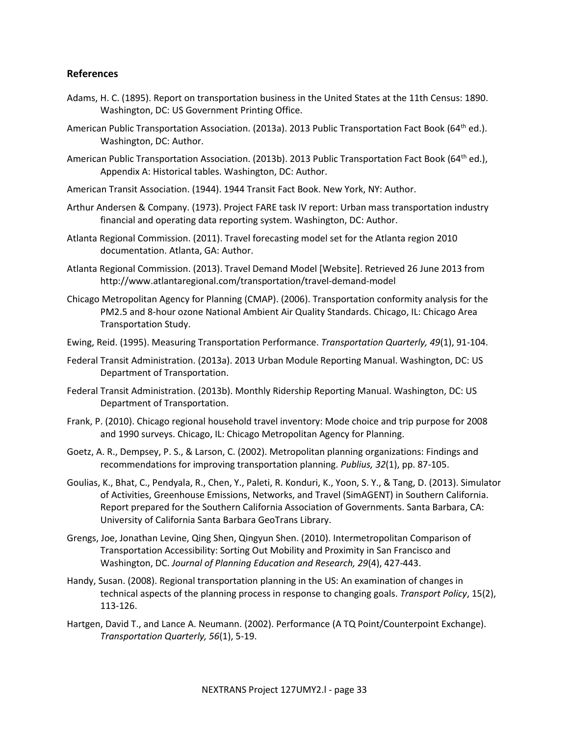#### **References**

- Adams, H. C. (1895). Report on transportation business in the United States at the 11th Census: 1890. Washington, DC: US Government Printing Office.
- American Public Transportation Association. (2013a). 2013 Public Transportation Fact Book (64<sup>th</sup> ed.). Washington, DC: Author.
- American Public Transportation Association. (2013b). 2013 Public Transportation Fact Book (64<sup>th</sup> ed.), Appendix A: Historical tables. Washington, DC: Author.
- American Transit Association. (1944). 1944 Transit Fact Book. New York, NY: Author.
- Arthur Andersen & Company. (1973). Project FARE task IV report: Urban mass transportation industry financial and operating data reporting system. Washington, DC: Author.
- Atlanta Regional Commission. (2011). Travel forecasting model set for the Atlanta region 2010 documentation. Atlanta, GA: Author.
- Atlanta Regional Commission. (2013). Travel Demand Model [Website]. Retrieved 26 June 2013 from http://www.atlantaregional.com/transportation/travel-demand-model
- Chicago Metropolitan Agency for Planning (CMAP). (2006). Transportation conformity analysis for the PM2.5 and 8-hour ozone National Ambient Air Quality Standards. Chicago, IL: Chicago Area Transportation Study.
- Ewing, Reid. (1995). Measuring Transportation Performance. *Transportation Quarterly, 49*(1), 91-104.
- Federal Transit Administration. (2013a). 2013 Urban Module Reporting Manual. Washington, DC: US Department of Transportation.
- Federal Transit Administration. (2013b). Monthly Ridership Reporting Manual. Washington, DC: US Department of Transportation.
- Frank, P. (2010). Chicago regional household travel inventory: Mode choice and trip purpose for 2008 and 1990 surveys. Chicago, IL: Chicago Metropolitan Agency for Planning.
- Goetz, A. R., Dempsey, P. S., & Larson, C. (2002). Metropolitan planning organizations: Findings and recommendations for improving transportation planning. *Publius, 32*(1), pp. 87-105.
- Goulias, K., Bhat, C., Pendyala, R., Chen, Y., Paleti, R. Konduri, K., Yoon, S. Y., & Tang, D. (2013). Simulator of Activities, Greenhouse Emissions, Networks, and Travel (SimAGENT) in Southern California. Report prepared for the Southern California Association of Governments. Santa Barbara, CA: University of California Santa Barbara GeoTrans Library.
- Grengs, Joe, Jonathan Levine, Qing Shen, Qingyun Shen. (2010). Intermetropolitan Comparison of Transportation Accessibility: Sorting Out Mobility and Proximity in San Francisco and Washington, DC. *Journal of Planning Education and Research, 29*(4), 427-443.
- Handy, Susan. (2008). Regional transportation planning in the US: An examination of changes in technical aspects of the planning process in response to changing goals. *Transport Policy*, 15(2), 113-126.
- Hartgen, David T., and Lance A. Neumann. (2002). Performance (A TQ Point/Counterpoint Exchange). *Transportation Quarterly, 56*(1), 5-19.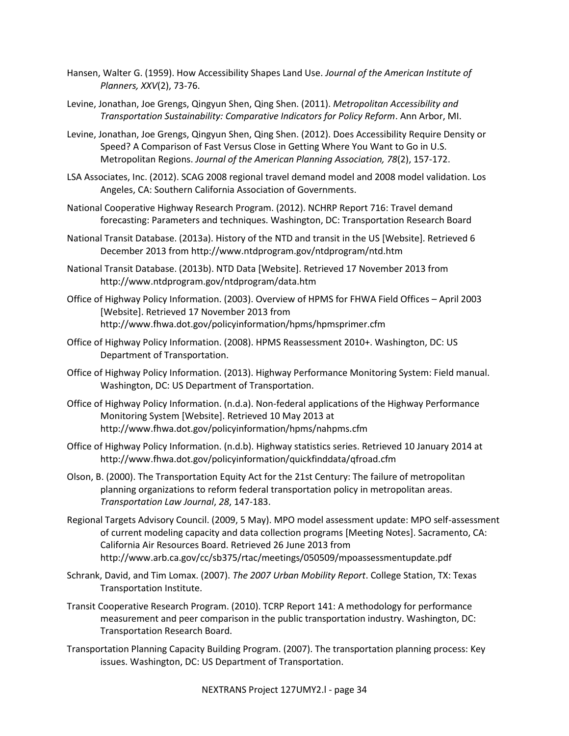- Hansen, Walter G. (1959). How Accessibility Shapes Land Use. *Journal of the American Institute of Planners, XXV*(2), 73-76.
- Levine, Jonathan, Joe Grengs, Qingyun Shen, Qing Shen. (2011). *Metropolitan Accessibility and Transportation Sustainability: Comparative Indicators for Policy Reform*. Ann Arbor, MI.
- Levine, Jonathan, Joe Grengs, Qingyun Shen, Qing Shen. (2012). Does Accessibility Require Density or Speed? A Comparison of Fast Versus Close in Getting Where You Want to Go in U.S. Metropolitan Regions. *Journal of the American Planning Association, 78*(2), 157-172.
- LSA Associates, Inc. (2012). SCAG 2008 regional travel demand model and 2008 model validation. Los Angeles, CA: Southern California Association of Governments.
- National Cooperative Highway Research Program. (2012). NCHRP Report 716: Travel demand forecasting: Parameters and techniques. Washington, DC: Transportation Research Board
- National Transit Database. (2013a). History of the NTD and transit in the US [Website]. Retrieved 6 December 2013 from http://www.ntdprogram.gov/ntdprogram/ntd.htm
- National Transit Database. (2013b). NTD Data [Website]. Retrieved 17 November 2013 from http://www.ntdprogram.gov/ntdprogram/data.htm
- Office of Highway Policy Information. (2003). Overview of HPMS for FHWA Field Offices April 2003 [Website]. Retrieved 17 November 2013 from http://www.fhwa.dot.gov/policyinformation/hpms/hpmsprimer.cfm
- Office of Highway Policy Information. (2008). HPMS Reassessment 2010+. Washington, DC: US Department of Transportation.
- Office of Highway Policy Information. (2013). Highway Performance Monitoring System: Field manual. Washington, DC: US Department of Transportation.
- Office of Highway Policy Information. (n.d.a). Non-federal applications of the Highway Performance Monitoring System [Website]. Retrieved 10 May 2013 at http://www.fhwa.dot.gov/policyinformation/hpms/nahpms.cfm
- Office of Highway Policy Information. (n.d.b). Highway statistics series. Retrieved 10 January 2014 at http://www.fhwa.dot.gov/policyinformation/quickfinddata/qfroad.cfm
- Olson, B. (2000). The Transportation Equity Act for the 21st Century: The failure of metropolitan planning organizations to reform federal transportation policy in metropolitan areas. *Transportation Law Journal*, *28*, 147-183.
- Regional Targets Advisory Council. (2009, 5 May). MPO model assessment update: MPO self-assessment of current modeling capacity and data collection programs [Meeting Notes]. Sacramento, CA: California Air Resources Board. Retrieved 26 June 2013 from http://www.arb.ca.gov/cc/sb375/rtac/meetings/050509/mpoassessmentupdate.pdf
- Schrank, David, and Tim Lomax. (2007). *The 2007 Urban Mobility Report*. College Station, TX: Texas Transportation Institute.
- Transit Cooperative Research Program. (2010). TCRP Report 141: A methodology for performance measurement and peer comparison in the public transportation industry. Washington, DC: Transportation Research Board.
- Transportation Planning Capacity Building Program. (2007). The transportation planning process: Key issues. Washington, DC: US Department of Transportation.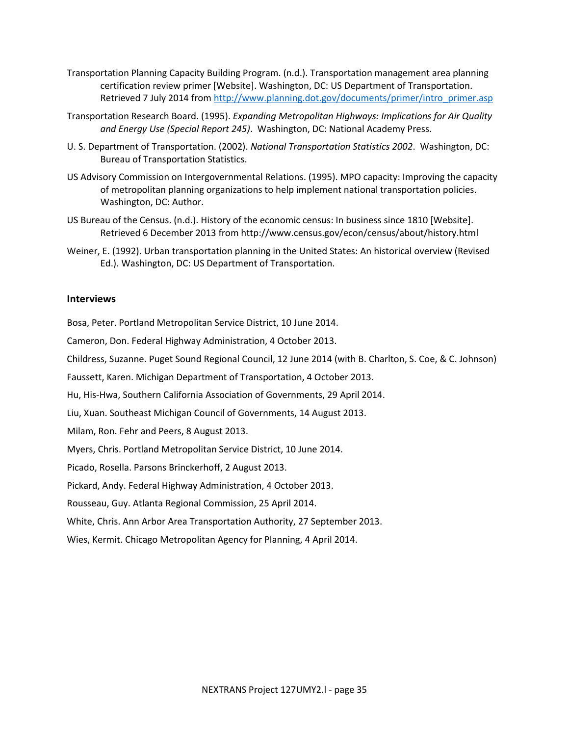- Transportation Planning Capacity Building Program. (n.d.). Transportation management area planning certification review primer [Website]. Washington, DC: US Department of Transportation. Retrieved 7 July 2014 from [http://www.planning.dot.gov/documents/primer/intro\\_primer.asp](http://www.planning.dot.gov/documents/primer/intro_primer.asp#3.2)
- Transportation Research Board. (1995). *Expanding Metropolitan Highways: Implications for Air Quality and Energy Use (Special Report 245)*. Washington, DC: National Academy Press.
- U. S. Department of Transportation. (2002). *National Transportation Statistics 2002*. Washington, DC: Bureau of Transportation Statistics.
- US Advisory Commission on Intergovernmental Relations. (1995). MPO capacity: Improving the capacity of metropolitan planning organizations to help implement national transportation policies. Washington, DC: Author.
- US Bureau of the Census. (n.d.). History of the economic census: In business since 1810 [Website]. Retrieved 6 December 2013 from http://www.census.gov/econ/census/about/history.html
- Weiner, E. (1992). Urban transportation planning in the United States: An historical overview (Revised Ed.). Washington, DC: US Department of Transportation.

#### **Interviews**

Bosa, Peter. Portland Metropolitan Service District, 10 June 2014.

Cameron, Don. Federal Highway Administration, 4 October 2013.

Childress, Suzanne. Puget Sound Regional Council, 12 June 2014 (with B. Charlton, S. Coe, & C. Johnson)

Faussett, Karen. Michigan Department of Transportation, 4 October 2013.

Hu, His-Hwa, Southern California Association of Governments, 29 April 2014.

Liu, Xuan. Southeast Michigan Council of Governments, 14 August 2013.

Milam, Ron. Fehr and Peers, 8 August 2013.

Myers, Chris. Portland Metropolitan Service District, 10 June 2014.

Picado, Rosella. Parsons Brinckerhoff, 2 August 2013.

Pickard, Andy. Federal Highway Administration, 4 October 2013.

Rousseau, Guy. Atlanta Regional Commission, 25 April 2014.

White, Chris. Ann Arbor Area Transportation Authority, 27 September 2013.

Wies, Kermit. Chicago Metropolitan Agency for Planning, 4 April 2014.